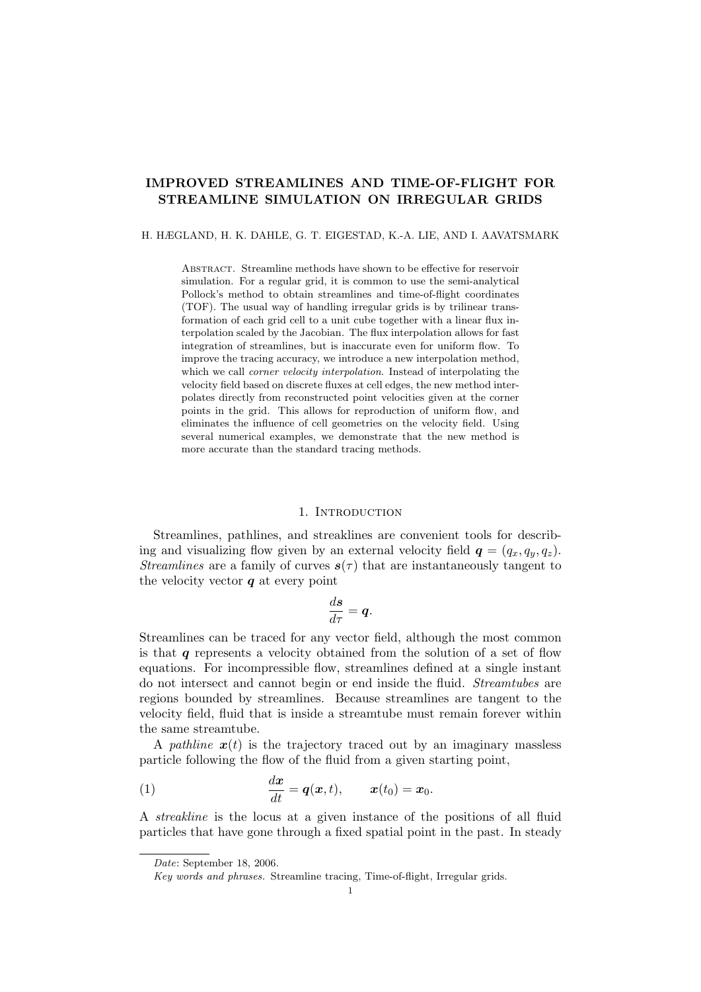# IMPROVED STREAMLINES AND TIME-OF-FLIGHT FOR STREAMLINE SIMULATION ON IRREGULAR GRIDS

### H. HÆGLAND, H. K. DAHLE, G. T. EIGESTAD, K.-A. LIE, AND I. AAVATSMARK

Abstract. Streamline methods have shown to be effective for reservoir simulation. For a regular grid, it is common to use the semi-analytical Pollock's method to obtain streamlines and time-of-flight coordinates (TOF). The usual way of handling irregular grids is by trilinear transformation of each grid cell to a unit cube together with a linear flux interpolation scaled by the Jacobian. The flux interpolation allows for fast integration of streamlines, but is inaccurate even for uniform flow. To improve the tracing accuracy, we introduce a new interpolation method, which we call *corner velocity interpolation*. Instead of interpolating the velocity field based on discrete fluxes at cell edges, the new method interpolates directly from reconstructed point velocities given at the corner points in the grid. This allows for reproduction of uniform flow, and eliminates the influence of cell geometries on the velocity field. Using several numerical examples, we demonstrate that the new method is more accurate than the standard tracing methods.

### 1. INTRODUCTION

Streamlines, pathlines, and streaklines are convenient tools for describing and visualizing flow given by an external velocity field  $q = (q_x, q_y, q_z)$ . Streamlines are a family of curves  $s(\tau)$  that are instantaneously tangent to the velocity vector  $q$  at every point

$$
\frac{d\mathbf{s}}{d\tau} = \mathbf{q}.
$$

Streamlines can be traced for any vector field, although the most common is that  $q$  represents a velocity obtained from the solution of a set of flow equations. For incompressible flow, streamlines defined at a single instant do not intersect and cannot begin or end inside the fluid. Streamtubes are regions bounded by streamlines. Because streamlines are tangent to the velocity field, fluid that is inside a streamtube must remain forever within the same streamtube.

A pathline  $x(t)$  is the trajectory traced out by an imaginary massless particle following the flow of the fluid from a given starting point,

(1) 
$$
\frac{dx}{dt} = q(x,t), \qquad x(t_0) = x_0.
$$

A streakline is the locus at a given instance of the positions of all fluid particles that have gone through a fixed spatial point in the past. In steady

Date: September 18, 2006.

Key words and phrases. Streamline tracing, Time-of-flight, Irregular grids.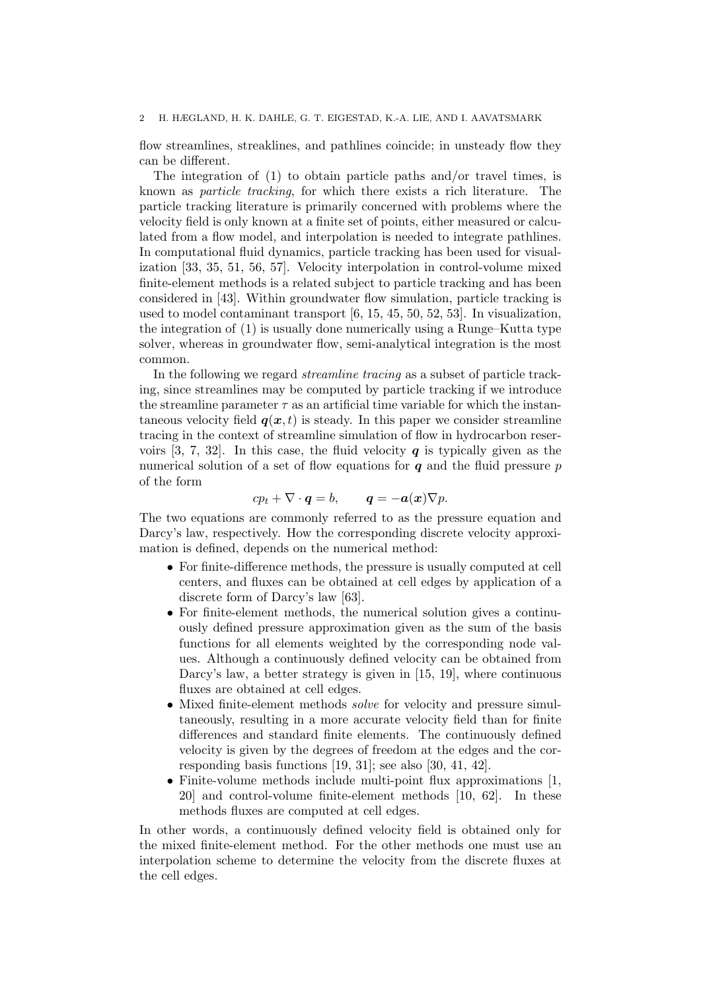### 2 H. HÆGLAND, H. K. DAHLE, G. T. EIGESTAD, K.-A. LIE, AND I. AAVATSMARK

flow streamlines, streaklines, and pathlines coincide; in unsteady flow they can be different.

The integration of (1) to obtain particle paths and/or travel times, is known as particle tracking, for which there exists a rich literature. The particle tracking literature is primarily concerned with problems where the velocity field is only known at a finite set of points, either measured or calculated from a flow model, and interpolation is needed to integrate pathlines. In computational fluid dynamics, particle tracking has been used for visualization [33, 35, 51, 56, 57]. Velocity interpolation in control-volume mixed finite-element methods is a related subject to particle tracking and has been considered in [43]. Within groundwater flow simulation, particle tracking is used to model contaminant transport [6, 15, 45, 50, 52, 53]. In visualization, the integration of (1) is usually done numerically using a Runge–Kutta type solver, whereas in groundwater flow, semi-analytical integration is the most common.

In the following we regard streamline tracing as a subset of particle tracking, since streamlines may be computed by particle tracking if we introduce the streamline parameter  $\tau$  as an artificial time variable for which the instantaneous velocity field  $q(x, t)$  is steady. In this paper we consider streamline tracing in the context of streamline simulation of flow in hydrocarbon reservoirs  $[3, 7, 32]$ . In this case, the fluid velocity q is typically given as the numerical solution of a set of flow equations for  $q$  and the fluid pressure  $p$ of the form

$$
cp_t + \nabla \cdot \boldsymbol{q} = b, \qquad \boldsymbol{q} = -\boldsymbol{a}(\boldsymbol{x}) \nabla p.
$$

The two equations are commonly referred to as the pressure equation and Darcy's law, respectively. How the corresponding discrete velocity approximation is defined, depends on the numerical method:

- For finite-difference methods, the pressure is usually computed at cell centers, and fluxes can be obtained at cell edges by application of a discrete form of Darcy's law [63].
- For finite-element methods, the numerical solution gives a continuously defined pressure approximation given as the sum of the basis functions for all elements weighted by the corresponding node values. Although a continuously defined velocity can be obtained from Darcy's law, a better strategy is given in [15, 19], where continuous fluxes are obtained at cell edges.
- Mixed finite-element methods *solve* for velocity and pressure simultaneously, resulting in a more accurate velocity field than for finite differences and standard finite elements. The continuously defined velocity is given by the degrees of freedom at the edges and the corresponding basis functions [19, 31]; see also [30, 41, 42].
- Finite-volume methods include multi-point flux approximations [1, 20] and control-volume finite-element methods [10, 62]. In these methods fluxes are computed at cell edges.

In other words, a continuously defined velocity field is obtained only for the mixed finite-element method. For the other methods one must use an interpolation scheme to determine the velocity from the discrete fluxes at the cell edges.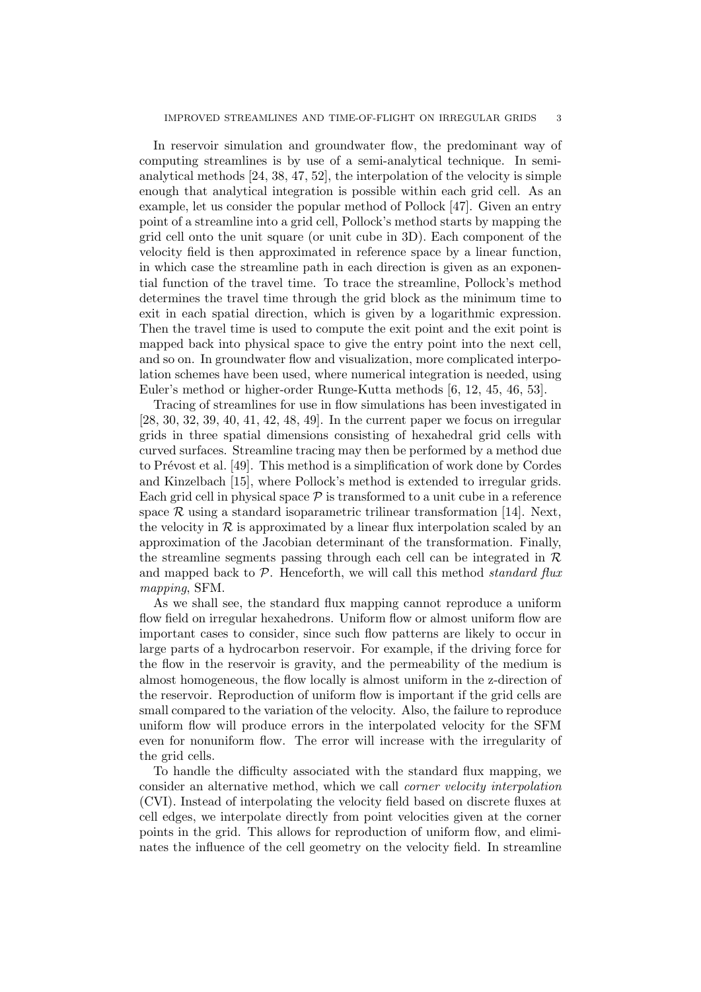In reservoir simulation and groundwater flow, the predominant way of computing streamlines is by use of a semi-analytical technique. In semianalytical methods [24, 38, 47, 52], the interpolation of the velocity is simple enough that analytical integration is possible within each grid cell. As an example, let us consider the popular method of Pollock [47]. Given an entry point of a streamline into a grid cell, Pollock's method starts by mapping the grid cell onto the unit square (or unit cube in 3D). Each component of the velocity field is then approximated in reference space by a linear function, in which case the streamline path in each direction is given as an exponential function of the travel time. To trace the streamline, Pollock's method determines the travel time through the grid block as the minimum time to exit in each spatial direction, which is given by a logarithmic expression. Then the travel time is used to compute the exit point and the exit point is mapped back into physical space to give the entry point into the next cell, and so on. In groundwater flow and visualization, more complicated interpolation schemes have been used, where numerical integration is needed, using Euler's method or higher-order Runge-Kutta methods [6, 12, 45, 46, 53].

Tracing of streamlines for use in flow simulations has been investigated in [28, 30, 32, 39, 40, 41, 42, 48, 49]. In the current paper we focus on irregular grids in three spatial dimensions consisting of hexahedral grid cells with curved surfaces. Streamline tracing may then be performed by a method due to Prévost et al. [49]. This method is a simplification of work done by Cordes and Kinzelbach [15], where Pollock's method is extended to irregular grids. Each grid cell in physical space  $P$  is transformed to a unit cube in a reference space  $\mathcal R$  using a standard isoparametric trilinear transformation [14]. Next, the velocity in  $R$  is approximated by a linear flux interpolation scaled by an approximation of the Jacobian determinant of the transformation. Finally, the streamline segments passing through each cell can be integrated in  $\mathcal R$ and mapped back to  $P$ . Henceforth, we will call this method standard flux mapping, SFM.

As we shall see, the standard flux mapping cannot reproduce a uniform flow field on irregular hexahedrons. Uniform flow or almost uniform flow are important cases to consider, since such flow patterns are likely to occur in large parts of a hydrocarbon reservoir. For example, if the driving force for the flow in the reservoir is gravity, and the permeability of the medium is almost homogeneous, the flow locally is almost uniform in the z-direction of the reservoir. Reproduction of uniform flow is important if the grid cells are small compared to the variation of the velocity. Also, the failure to reproduce uniform flow will produce errors in the interpolated velocity for the SFM even for nonuniform flow. The error will increase with the irregularity of the grid cells.

To handle the difficulty associated with the standard flux mapping, we consider an alternative method, which we call corner velocity interpolation (CVI). Instead of interpolating the velocity field based on discrete fluxes at cell edges, we interpolate directly from point velocities given at the corner points in the grid. This allows for reproduction of uniform flow, and eliminates the influence of the cell geometry on the velocity field. In streamline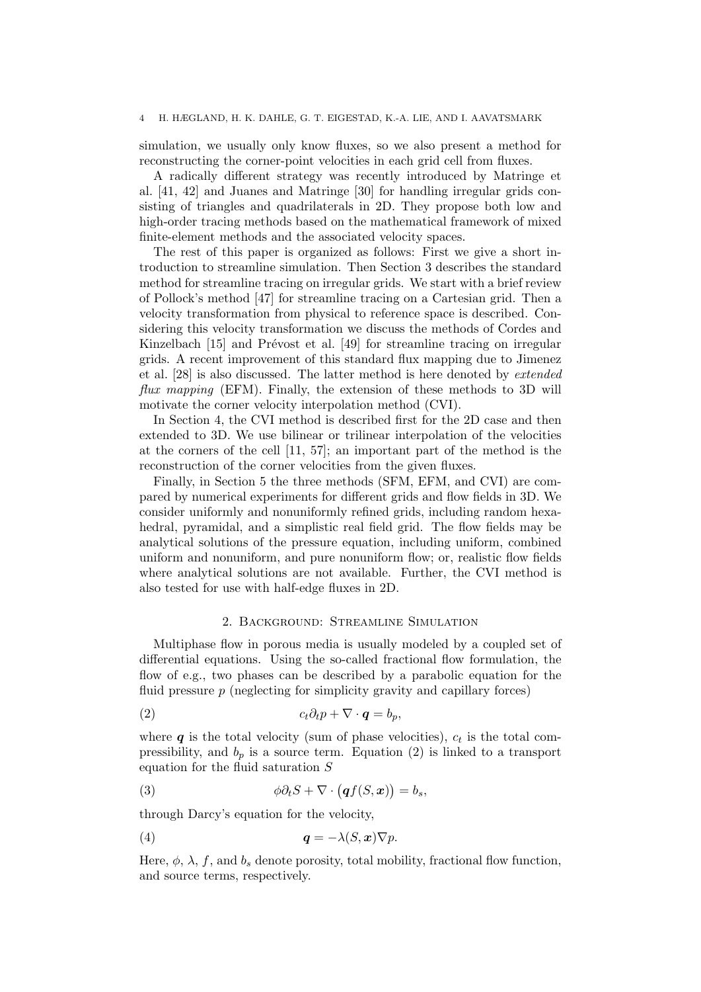### 4 H. HÆGLAND, H. K. DAHLE, G. T. EIGESTAD, K.-A. LIE, AND I. AAVATSMARK

simulation, we usually only know fluxes, so we also present a method for reconstructing the corner-point velocities in each grid cell from fluxes.

A radically different strategy was recently introduced by Matringe et al. [41, 42] and Juanes and Matringe [30] for handling irregular grids consisting of triangles and quadrilaterals in 2D. They propose both low and high-order tracing methods based on the mathematical framework of mixed finite-element methods and the associated velocity spaces.

The rest of this paper is organized as follows: First we give a short introduction to streamline simulation. Then Section 3 describes the standard method for streamline tracing on irregular grids. We start with a brief review of Pollock's method [47] for streamline tracing on a Cartesian grid. Then a velocity transformation from physical to reference space is described. Considering this velocity transformation we discuss the methods of Cordes and Kinzelbach [15] and Prévost et al. [49] for streamline tracing on irregular grids. A recent improvement of this standard flux mapping due to Jimenez et al. [28] is also discussed. The latter method is here denoted by extended flux mapping (EFM). Finally, the extension of these methods to 3D will motivate the corner velocity interpolation method (CVI).

In Section 4, the CVI method is described first for the 2D case and then extended to 3D. We use bilinear or trilinear interpolation of the velocities at the corners of the cell [11, 57]; an important part of the method is the reconstruction of the corner velocities from the given fluxes.

Finally, in Section 5 the three methods (SFM, EFM, and CVI) are compared by numerical experiments for different grids and flow fields in 3D. We consider uniformly and nonuniformly refined grids, including random hexahedral, pyramidal, and a simplistic real field grid. The flow fields may be analytical solutions of the pressure equation, including uniform, combined uniform and nonuniform, and pure nonuniform flow; or, realistic flow fields where analytical solutions are not available. Further, the CVI method is also tested for use with half-edge fluxes in 2D.

### 2. Background: Streamline Simulation

Multiphase flow in porous media is usually modeled by a coupled set of differential equations. Using the so-called fractional flow formulation, the flow of e.g., two phases can be described by a parabolic equation for the fluid pressure p (neglecting for simplicity gravity and capillary forces)

$$
(2) \t ct \partial_t p + \nabla \cdot \boldsymbol{q} = b_p,
$$

where  $q$  is the total velocity (sum of phase velocities),  $c_t$  is the total compressibility, and  $b_p$  is a source term. Equation (2) is linked to a transport equation for the fluid saturation S

(3) 
$$
\phi \partial_t S + \nabla \cdot (\boldsymbol{q} f(S, \boldsymbol{x})) = b_s,
$$

through Darcy's equation for the velocity,

(4) q = −λ(S, x)∇p.

Here,  $\phi$ ,  $\lambda$ , f, and  $b_s$  denote porosity, total mobility, fractional flow function, and source terms, respectively.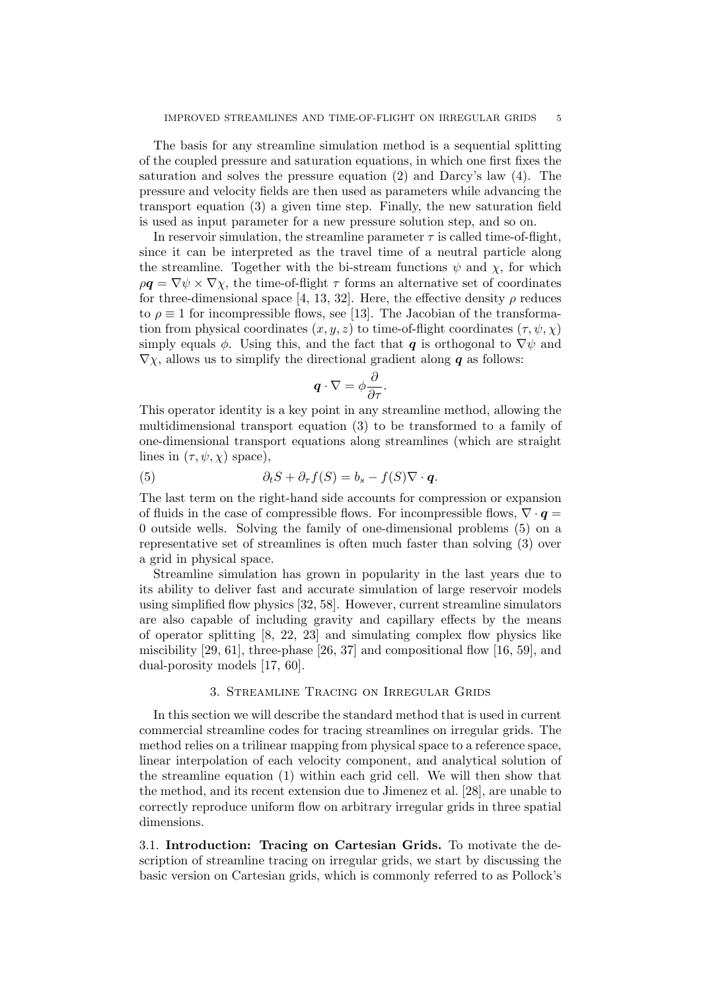The basis for any streamline simulation method is a sequential splitting of the coupled pressure and saturation equations, in which one first fixes the saturation and solves the pressure equation (2) and Darcy's law (4). The pressure and velocity fields are then used as parameters while advancing the transport equation (3) a given time step. Finally, the new saturation field is used as input parameter for a new pressure solution step, and so on.

In reservoir simulation, the streamline parameter  $\tau$  is called time-of-flight, since it can be interpreted as the travel time of a neutral particle along the streamline. Together with the bi-stream functions  $\psi$  and  $\chi$ , for which  $\rho \mathbf{q} = \nabla \psi \times \nabla \chi$ , the time-of-flight  $\tau$  forms an alternative set of coordinates for three-dimensional space [4, 13, 32]. Here, the effective density  $\rho$  reduces to  $\rho \equiv 1$  for incompressible flows, see [13]. The Jacobian of the transformation from physical coordinates  $(x, y, z)$  to time-of-flight coordinates  $(\tau, \psi, \chi)$ simply equals  $\phi$ . Using this, and the fact that q is orthogonal to  $\nabla \psi$  and  $\nabla \chi$ , allows us to simplify the directional gradient along **q** as follows:

$$
\boldsymbol{q}\cdot\nabla=\phi\frac{\partial}{\partial\tau}.
$$

This operator identity is a key point in any streamline method, allowing the multidimensional transport equation (3) to be transformed to a family of one-dimensional transport equations along streamlines (which are straight lines in  $(\tau, \psi, \chi)$  space),

(5) 
$$
\partial_t S + \partial_{\tau} f(S) = b_s - f(S) \nabla \cdot \boldsymbol{q}.
$$

The last term on the right-hand side accounts for compression or expansion of fluids in the case of compressible flows. For incompressible flows,  $\nabla \cdot \mathbf{q} =$ 0 outside wells. Solving the family of one-dimensional problems (5) on a representative set of streamlines is often much faster than solving (3) over a grid in physical space.

Streamline simulation has grown in popularity in the last years due to its ability to deliver fast and accurate simulation of large reservoir models using simplified flow physics [32, 58]. However, current streamline simulators are also capable of including gravity and capillary effects by the means of operator splitting  $[8, 22, 23]$  and simulating complex flow physics like miscibility [29, 61], three-phase [26, 37] and compositional flow [16, 59], and dual-porosity models [17, 60].

## 3. Streamline Tracing on Irregular Grids

In this section we will describe the standard method that is used in current commercial streamline codes for tracing streamlines on irregular grids. The method relies on a trilinear mapping from physical space to a reference space, linear interpolation of each velocity component, and analytical solution of the streamline equation (1) within each grid cell. We will then show that the method, and its recent extension due to Jimenez et al. [28], are unable to correctly reproduce uniform flow on arbitrary irregular grids in three spatial dimensions.

3.1. Introduction: Tracing on Cartesian Grids. To motivate the description of streamline tracing on irregular grids, we start by discussing the basic version on Cartesian grids, which is commonly referred to as Pollock's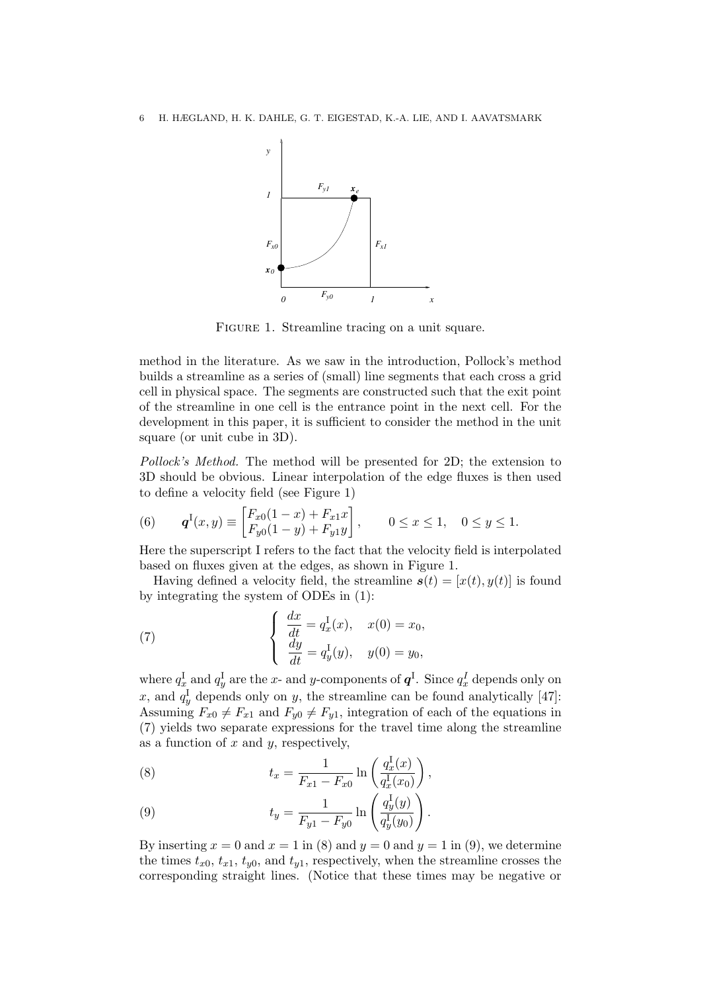

FIGURE 1. Streamline tracing on a unit square.

method in the literature. As we saw in the introduction, Pollock's method builds a streamline as a series of (small) line segments that each cross a grid cell in physical space. The segments are constructed such that the exit point of the streamline in one cell is the entrance point in the next cell. For the development in this paper, it is sufficient to consider the method in the unit square (or unit cube in 3D).

Pollock's Method. The method will be presented for 2D; the extension to 3D should be obvious. Linear interpolation of the edge fluxes is then used to define a velocity field (see Figure 1)

(6) 
$$
\boldsymbol{q}^{\mathrm{I}}(x,y) \equiv \begin{bmatrix} F_{x0}(1-x) + F_{x1}x \\ F_{y0}(1-y) + F_{y1}y \end{bmatrix}, \qquad 0 \le x \le 1, \quad 0 \le y \le 1.
$$

Here the superscript I refers to the fact that the velocity field is interpolated based on fluxes given at the edges, as shown in Figure 1.

Having defined a velocity field, the streamline  $s(t) = [x(t), y(t)]$  is found by integrating the system of ODEs in (1):

(7) 
$$
\begin{cases} \frac{dx}{dt} = q_x^{\text{I}}(x), & x(0) = x_0, \\ \frac{dy}{dt} = q_y^{\text{I}}(y), & y(0) = y_0, \end{cases}
$$

where  $q_x^{\rm I}$  and  $q_y^{\rm I}$  are the  $x$ - and  $y$ -components of  $\bm{q}^{\rm I}$ . Since  $q_x^{\rm I}$  depends only on x, and  $q_y^{\text{I}}$  depends only on y, the streamline can be found analytically [47]: Assuming  $F_{x0} \neq F_{x1}$  and  $F_{y0} \neq F_{y1}$ , integration of each of the equations in (7) yields two separate expressions for the travel time along the streamline as a function of  $x$  and  $y$ , respectively,

(8) 
$$
t_x = \frac{1}{F_{x1} - F_{x0}} \ln \left( \frac{q_x^{\{I\}}(x)}{q_x^{\{I\}}(x_0)} \right),
$$

(9) 
$$
t_y = \frac{1}{F_{y1} - F_{y0}} \ln \left( \frac{q_y^{\{1\}}(y)}{q_y^{\{1\}}(y_0)} \right).
$$

By inserting  $x = 0$  and  $x = 1$  in (8) and  $y = 0$  and  $y = 1$  in (9), we determine the times  $t_{x0}$ ,  $t_{x1}$ ,  $t_{y0}$ , and  $t_{y1}$ , respectively, when the streamline crosses the corresponding straight lines. (Notice that these times may be negative or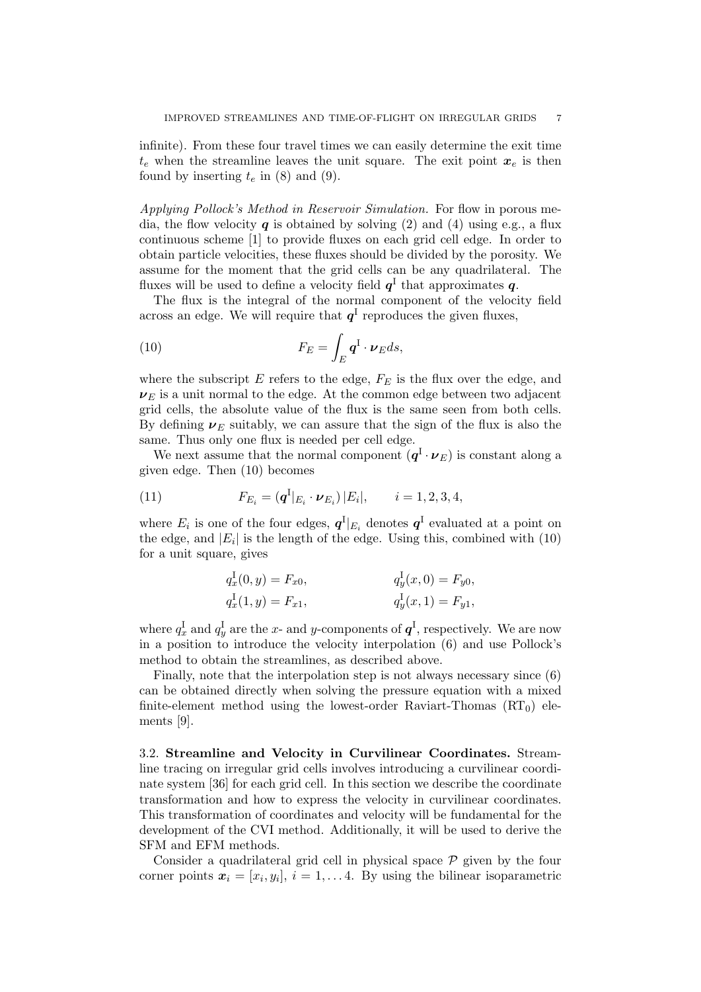infinite). From these four travel times we can easily determine the exit time  $t_e$  when the streamline leaves the unit square. The exit point  $x_e$  is then found by inserting  $t_e$  in (8) and (9).

Applying Pollock's Method in Reservoir Simulation. For flow in porous media, the flow velocity  $q$  is obtained by solving (2) and (4) using e.g., a flux continuous scheme [1] to provide fluxes on each grid cell edge. In order to obtain particle velocities, these fluxes should be divided by the porosity. We assume for the moment that the grid cells can be any quadrilateral. The fluxes will be used to define a velocity field  $q<sup>1</sup>$  that approximates  $q$ .

The flux is the integral of the normal component of the velocity field across an edge. We will require that  $q<sup>I</sup>$  reproduces the given fluxes,

(10) 
$$
F_E = \int_E \mathbf{q}^I \cdot \boldsymbol{\nu}_E ds,
$$

where the subscript  $E$  refers to the edge,  $F_E$  is the flux over the edge, and  $\nu_E$  is a unit normal to the edge. At the common edge between two adjacent grid cells, the absolute value of the flux is the same seen from both cells. By defining  $\nu_E$  suitably, we can assure that the sign of the flux is also the same. Thus only one flux is needed per cell edge.

We next assume that the normal component  $(q<sup>I</sup> \cdot \nu_E)$  is constant along a given edge. Then (10) becomes

(11) 
$$
F_{E_i} = (q^I|_{E_i} \cdot \nu_{E_i}) |E_i|, \qquad i = 1, 2, 3, 4,
$$

where  $E_i$  is one of the four edges,  $q^I|_{E_i}$  denotes  $q^I$  evaluated at a point on the edge, and  $|E_i|$  is the length of the edge. Using this, combined with  $(10)$ for a unit square, gives

$$
q_x^I(0, y) = F_{x0},
$$
  
\n
$$
q_y^I(x, 0) = F_{y0},
$$
  
\n
$$
q_y^I(x, 1) = F_{y1},
$$
  
\n
$$
q_y^I(x, 1) = F_{y1},
$$

where  $q_x^{\text{I}}$  and  $q_y^{\text{I}}$  are the x- and y-components of  $\boldsymbol{q}^{\text{I}}$ , respectively. We are now in a position to introduce the velocity interpolation (6) and use Pollock's method to obtain the streamlines, as described above.

Finally, note that the interpolation step is not always necessary since (6) can be obtained directly when solving the pressure equation with a mixed finite-element method using the lowest-order Raviart-Thomas  $(RT_0)$  elements [9].

3.2. Streamline and Velocity in Curvilinear Coordinates. Streamline tracing on irregular grid cells involves introducing a curvilinear coordinate system [36] for each grid cell. In this section we describe the coordinate transformation and how to express the velocity in curvilinear coordinates. This transformation of coordinates and velocity will be fundamental for the development of the CVI method. Additionally, it will be used to derive the SFM and EFM methods.

Consider a quadrilateral grid cell in physical space  $P$  given by the four corner points  $x_i = [x_i, y_i], i = 1, \ldots 4$ . By using the bilinear isoparametric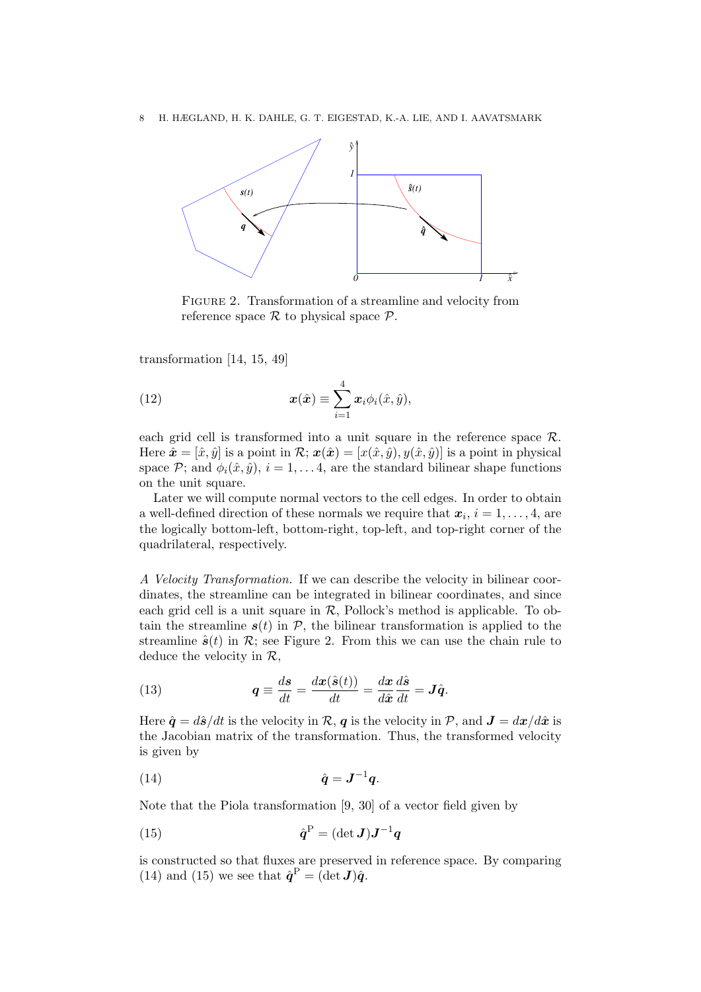

FIGURE 2. Transformation of a streamline and velocity from reference space  $\mathcal R$  to physical space  $\mathcal P$ .

transformation [14, 15, 49]

(12) 
$$
\boldsymbol{x}(\hat{\boldsymbol{x}}) \equiv \sum_{i=1}^{4} \boldsymbol{x}_i \phi_i(\hat{x}, \hat{y}),
$$

each grid cell is transformed into a unit square in the reference space  $\mathcal{R}$ . Here  $\hat{\mathbf{x}} = [\hat{x}, \hat{y}]$  is a point in  $\mathcal{R}; \mathbf{x}(\hat{\mathbf{x}}) = [x(\hat{x}, \hat{y}), y(\hat{x}, \hat{y})]$  is a point in physical space  $\mathcal{P}$ ; and  $\phi_i(\hat{x}, \hat{y})$ ,  $i = 1, \dots 4$ , are the standard bilinear shape functions on the unit square.

Later we will compute normal vectors to the cell edges. In order to obtain a well-defined direction of these normals we require that  $x_i$ ,  $i = 1, \ldots, 4$ , are the logically bottom-left, bottom-right, top-left, and top-right corner of the quadrilateral, respectively.

A Velocity Transformation. If we can describe the velocity in bilinear coordinates, the streamline can be integrated in bilinear coordinates, and since each grid cell is a unit square in  $\mathcal{R}$ , Pollock's method is applicable. To obtain the streamline  $s(t)$  in  $P$ , the bilinear transformation is applied to the streamline  $\hat{\mathbf{s}}(t)$  in  $\mathcal{R}$ ; see Figure 2. From this we can use the chain rule to deduce the velocity in  $\mathcal{R}$ ,

(13) 
$$
q \equiv \frac{ds}{dt} = \frac{dx(\hat{s}(t))}{dt} = \frac{dx}{d\hat{x}}\frac{d\hat{s}}{dt} = J\hat{q}.
$$

Here  $\hat{\mathbf{q}} = d\hat{\mathbf{s}}/dt$  is the velocity in  $\mathcal{R}, \mathbf{q}$  is the velocity in  $\mathcal{P}$ , and  $\mathbf{J} = d\mathbf{x}/d\hat{\mathbf{x}}$  is the Jacobian matrix of the transformation. Thus, the transformed velocity is given by

$$
(14) \qquad \qquad \hat{q} = J^{-1}q.
$$

Note that the Piola transformation [9, 30] of a vector field given by

(15) 
$$
\hat{\boldsymbol{q}}^{\mathrm{P}} = (\det \boldsymbol{J}) \boldsymbol{J}^{-1} \boldsymbol{q}
$$

is constructed so that fluxes are preserved in reference space. By comparing (14) and (15) we see that  $\hat{\boldsymbol{q}}^{\text{P}} = (\det \boldsymbol{J})\hat{\boldsymbol{q}}$ .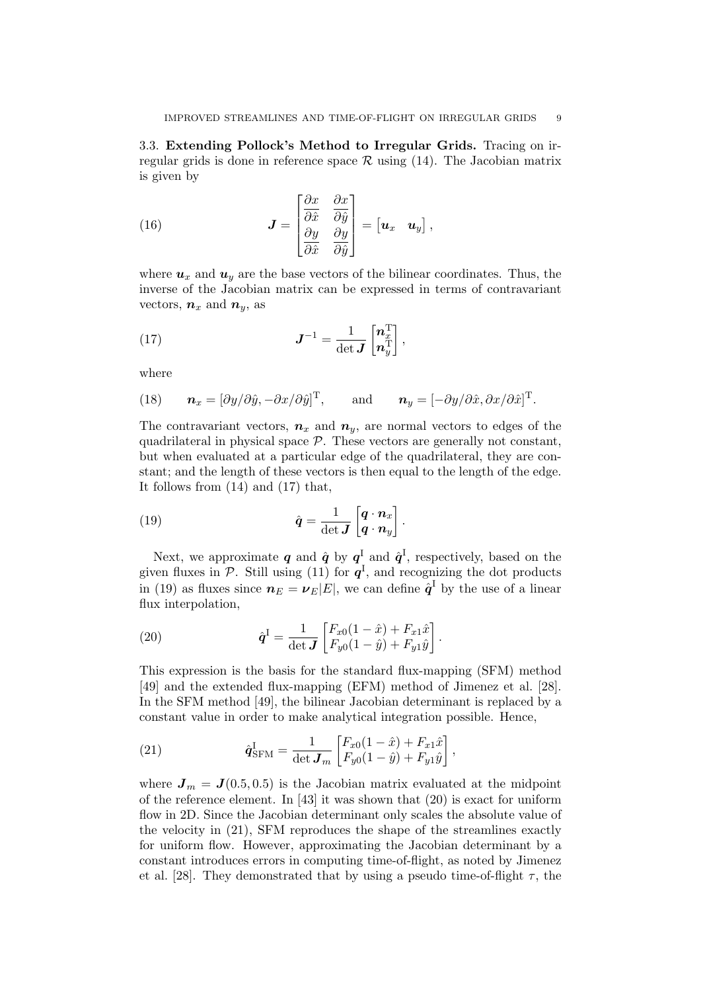3.3. Extending Pollock's Method to Irregular Grids. Tracing on irregular grids is done in reference space  $\mathcal R$  using (14). The Jacobian matrix is given by

(16) 
$$
\boldsymbol{J} = \begin{bmatrix} \frac{\partial x}{\partial \hat{x}} & \frac{\partial x}{\partial \hat{y}} \\ \frac{\partial y}{\partial \hat{x}} & \frac{\partial y}{\partial \hat{y}} \end{bmatrix} = \begin{bmatrix} \boldsymbol{u}_x & \boldsymbol{u}_y \end{bmatrix},
$$

where  $u_x$  and  $u_y$  are the base vectors of the bilinear coordinates. Thus, the inverse of the Jacobian matrix can be expressed in terms of contravariant vectors,  $n_x$  and  $n_y$ , as

(17) 
$$
J^{-1} = \frac{1}{\det J} \begin{bmatrix} n_x^{\mathrm{T}} \\ n_y^{\mathrm{T}} \end{bmatrix},
$$

where

(18) 
$$
\boldsymbol{n}_x = [\partial y/\partial \hat{y}, -\partial x/\partial \hat{y}]^T
$$
, and  $\boldsymbol{n}_y = [-\partial y/\partial \hat{x}, \partial x/\partial \hat{x}]^T$ .

The contravariant vectors,  $n_x$  and  $n_y$ , are normal vectors to edges of the quadrilateral in physical space  $P$ . These vectors are generally not constant, but when evaluated at a particular edge of the quadrilateral, they are constant; and the length of these vectors is then equal to the length of the edge. It follows from (14) and (17) that,

(19) 
$$
\hat{q} = \frac{1}{\det J} \begin{bmatrix} q \cdot n_x \\ q \cdot n_y \end{bmatrix}.
$$

Next, we approximate  $q$  and  $\hat{q}$  by  $q^{\text{I}}$  and  $\hat{q}^{\text{I}}$ , respectively, based on the given fluxes in  $P$ . Still using (11) for  $q<sup>I</sup>$ , and recognizing the dot products in (19) as fluxes since  $n_E = \nu_E |E|$ , we can define  $\hat{q}^{\text{I}}$  by the use of a linear flux interpolation,

(20) 
$$
\hat{\mathbf{q}}^{I} = \frac{1}{\det \mathbf{J}} \begin{bmatrix} F_{x0}(1-\hat{x}) + F_{x1}\hat{x} \\ F_{y0}(1-\hat{y}) + F_{y1}\hat{y} \end{bmatrix}.
$$

This expression is the basis for the standard flux-mapping (SFM) method [49] and the extended flux-mapping (EFM) method of Jimenez et al. [28]. In the SFM method [49], the bilinear Jacobian determinant is replaced by a constant value in order to make analytical integration possible. Hence,

(21) 
$$
\hat{\mathbf{q}}_{\text{SFM}}^{\text{I}} = \frac{1}{\det \mathbf{J}_m} \begin{bmatrix} F_{x0}(1-\hat{x}) + F_{x1}\hat{x} \\ F_{y0}(1-\hat{y}) + F_{y1}\hat{y} \end{bmatrix},
$$

where  $J_m = J(0.5, 0.5)$  is the Jacobian matrix evaluated at the midpoint of the reference element. In  $[43]$  it was shown that  $(20)$  is exact for uniform flow in 2D. Since the Jacobian determinant only scales the absolute value of the velocity in (21), SFM reproduces the shape of the streamlines exactly for uniform flow. However, approximating the Jacobian determinant by a constant introduces errors in computing time-of-flight, as noted by Jimenez et al. [28]. They demonstrated that by using a pseudo time-of-flight  $\tau$ , the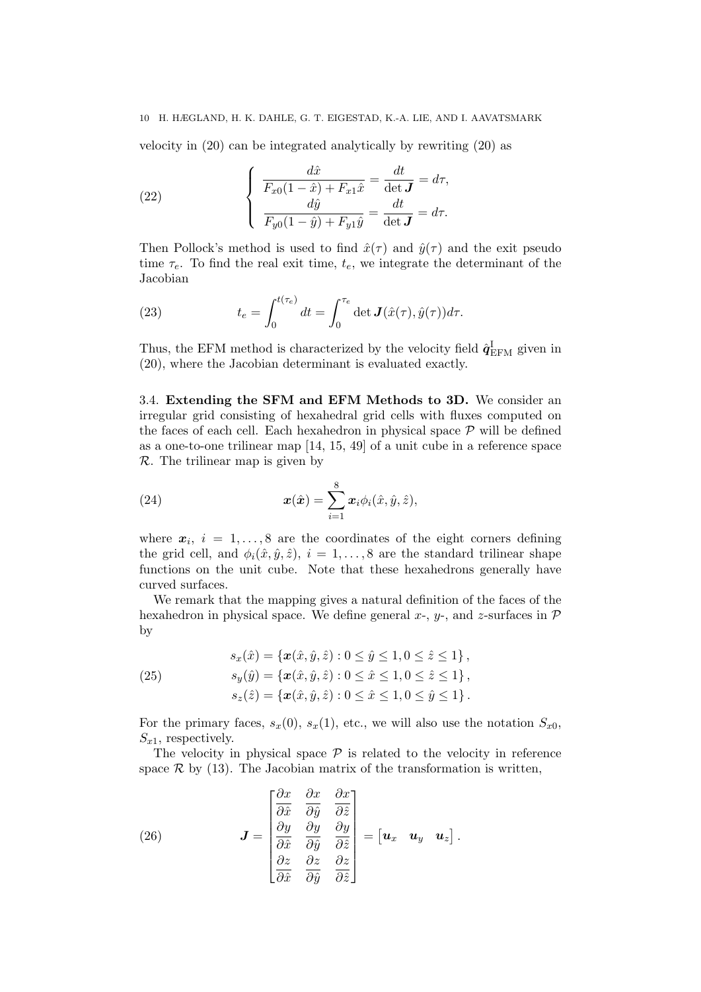velocity in (20) can be integrated analytically by rewriting (20) as

(22) 
$$
\begin{cases}\n\frac{d\hat{x}}{F_{x0}(1-\hat{x})+F_{x1}\hat{x}} = \frac{dt}{\det \mathbf{J}} = d\tau, \\
\frac{d\hat{y}}{F_{y0}(1-\hat{y})+F_{y1}\hat{y}} = \frac{dt}{\det \mathbf{J}} = d\tau.\n\end{cases}
$$

Then Pollock's method is used to find  $\hat{x}(\tau)$  and  $\hat{y}(\tau)$  and the exit pseudo time  $\tau_e$ . To find the real exit time,  $t_e$ , we integrate the determinant of the Jacobian

(23) 
$$
t_e = \int_0^{t(\tau_e)} dt = \int_0^{\tau_e} \det \mathbf{J}(\hat{x}(\tau), \hat{y}(\tau)) d\tau.
$$

Thus, the EFM method is characterized by the velocity field  $\hat{\mathbf{q}}_{\text{EFM}}^{\text{I}}$  given in (20), where the Jacobian determinant is evaluated exactly.

3.4. Extending the SFM and EFM Methods to 3D. We consider an irregular grid consisting of hexahedral grid cells with fluxes computed on the faces of each cell. Each hexahedron in physical space  $P$  will be defined as a one-to-one trilinear map [14, 15, 49] of a unit cube in a reference space R. The trilinear map is given by

(24) 
$$
\boldsymbol{x}(\hat{\boldsymbol{x}}) = \sum_{i=1}^{8} \boldsymbol{x}_i \phi_i(\hat{x}, \hat{y}, \hat{z}),
$$

where  $x_i$ ,  $i = 1, \ldots, 8$  are the coordinates of the eight corners defining the grid cell, and  $\phi_i(\hat{x}, \hat{y}, \hat{z}), i = 1, \ldots, 8$  are the standard trilinear shape functions on the unit cube. Note that these hexahedrons generally have curved surfaces.

We remark that the mapping gives a natural definition of the faces of the hexahedron in physical space. We define general  $x$ -,  $y$ -, and  $z$ -surfaces in  $\mathcal P$ by

(25) 
$$
s_x(\hat{x}) = \{ \mathbf{x}(\hat{x}, \hat{y}, \hat{z}) : 0 \le \hat{y} \le 1, 0 \le \hat{z} \le 1 \},
$$

$$
s_y(\hat{y}) = \{ \mathbf{x}(\hat{x}, \hat{y}, \hat{z}) : 0 \le \hat{x} \le 1, 0 \le \hat{z} \le 1 \},
$$

$$
s_z(\hat{z}) = \{ \mathbf{x}(\hat{x}, \hat{y}, \hat{z}) : 0 \le \hat{x} \le 1, 0 \le \hat{y} \le 1 \}.
$$

For the primary faces,  $s_x(0)$ ,  $s_x(1)$ , etc., we will also use the notation  $S_{x0}$ ,  $S_{x1}$ , respectively.

The velocity in physical space  $P$  is related to the velocity in reference space  $\mathcal R$  by (13). The Jacobian matrix of the transformation is written,

(26) 
$$
\mathbf{J} = \begin{bmatrix} \frac{\partial x}{\partial \hat{x}} & \frac{\partial x}{\partial \hat{y}} & \frac{\partial x}{\partial \hat{z}} \\ \frac{\partial y}{\partial \hat{x}} & \frac{\partial y}{\partial \hat{y}} & \frac{\partial y}{\partial \hat{z}} \\ \frac{\partial z}{\partial \hat{x}} & \frac{\partial z}{\partial \hat{y}} & \frac{\partial z}{\partial \hat{z}} \end{bmatrix} = \begin{bmatrix} \mathbf{u}_x & \mathbf{u}_y & \mathbf{u}_z \end{bmatrix}.
$$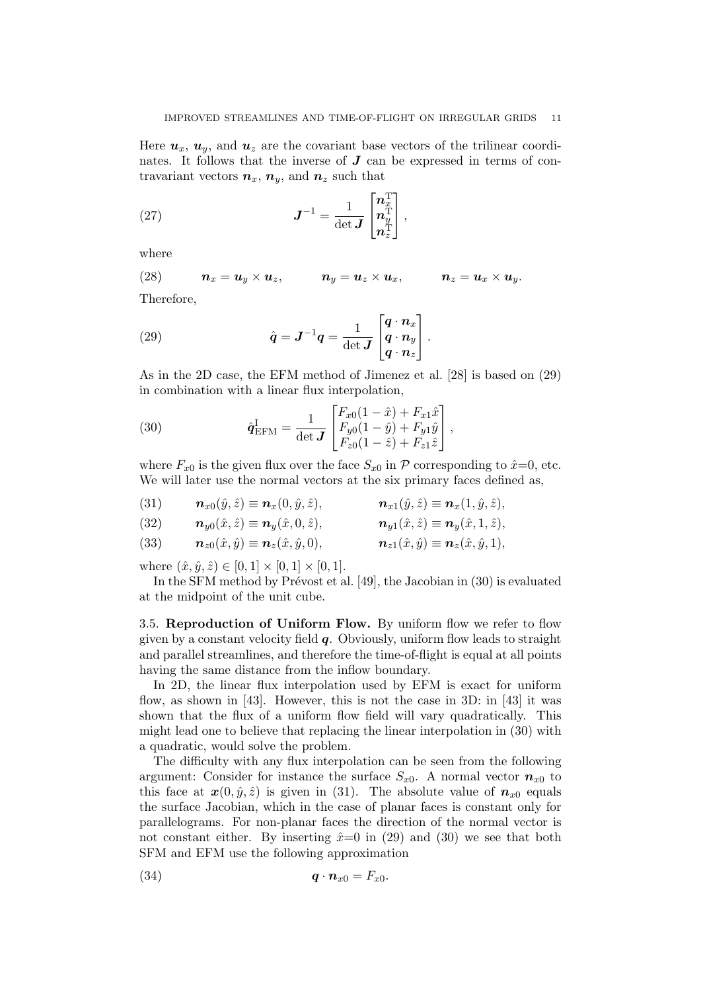Here  $u_x$ ,  $u_y$ , and  $u_z$  are the covariant base vectors of the trilinear coordinates. It follows that the inverse of  $J$  can be expressed in terms of contravariant vectors  $n_x$ ,  $n_y$ , and  $n_z$  such that

(27) 
$$
J^{-1} = \frac{1}{\det J} \begin{bmatrix} n_x^{\mathrm{T}} \\ n_y^{\mathrm{T}} \\ n_z^{\mathrm{T}} \end{bmatrix},
$$

where

(28)  $\boldsymbol{n}_x = \boldsymbol{u}_y \times \boldsymbol{u}_z, \qquad \boldsymbol{n}_y = \boldsymbol{u}_z \times \boldsymbol{u}_x, \qquad \boldsymbol{n}_z = \boldsymbol{u}_x \times \boldsymbol{u}_y.$ 

Therefore,

(29) 
$$
\hat{q} = J^{-1}q = \frac{1}{\det J} \begin{bmatrix} q \cdot n_x \\ q \cdot n_y \\ q \cdot n_z \end{bmatrix}.
$$

As in the 2D case, the EFM method of Jimenez et al. [28] is based on (29) in combination with a linear flux interpolation,

(30) 
$$
\hat{\mathbf{q}}_{\text{EFM}}^{\text{I}} = \frac{1}{\det \mathbf{J}} \begin{bmatrix} F_{x0}(1-\hat{x}) + F_{x1}\hat{x} \\ F_{y0}(1-\hat{y}) + F_{y1}\hat{y} \\ F_{z0}(1-\hat{z}) + F_{z1}\hat{z} \end{bmatrix},
$$

where  $F_{x0}$  is the given flux over the face  $S_{x0}$  in P corresponding to  $\hat{x}=0$ , etc. We will later use the normal vectors at the six primary faces defined as,

(31)  $\mathbf{n}_{x0}(\hat{y}, \hat{z}) \equiv \mathbf{n}_{x}(0, \hat{y}, \hat{z}),$   $\mathbf{n}_{x1}(\hat{y}, \hat{z}) \equiv \mathbf{n}_{x}(1, \hat{y}, \hat{z}),$ 

(32) 
$$
\mathbf{n}_{y0}(\hat{x}, \hat{z}) \equiv \mathbf{n}_{y}(\hat{x}, 0, \hat{z}), \qquad \mathbf{n}_{y1}(\hat{x}, \hat{z}) \equiv \mathbf{n}_{y}(\hat{x}, 1, \hat{z}),
$$

(33) 
$$
\mathbf{n}_{z0}(\hat{x},\hat{y}) \equiv \mathbf{n}_z(\hat{x},\hat{y},0), \qquad \mathbf{n}_{z1}(\hat{x},\hat{y}) \equiv \mathbf{n}_z(\hat{x},\hat{y},1),
$$

where  $(\hat{x}, \hat{y}, \hat{z}) \in [0, 1] \times [0, 1] \times [0, 1]$ .

In the SFM method by Prévost et al. [49], the Jacobian in  $(30)$  is evaluated at the midpoint of the unit cube.

3.5. Reproduction of Uniform Flow. By uniform flow we refer to flow given by a constant velocity field  $q$ . Obviously, uniform flow leads to straight and parallel streamlines, and therefore the time-of-flight is equal at all points having the same distance from the inflow boundary.

In 2D, the linear flux interpolation used by EFM is exact for uniform flow, as shown in [43]. However, this is not the case in 3D: in [43] it was shown that the flux of a uniform flow field will vary quadratically. This might lead one to believe that replacing the linear interpolation in (30) with a quadratic, would solve the problem.

The difficulty with any flux interpolation can be seen from the following argument: Consider for instance the surface  $S_{x0}$ . A normal vector  $n_{x0}$  to this face at  $x(0, \hat{y}, \hat{z})$  is given in (31). The absolute value of  $n_{x0}$  equals the surface Jacobian, which in the case of planar faces is constant only for parallelograms. For non-planar faces the direction of the normal vector is not constant either. By inserting  $\hat{x}=0$  in (29) and (30) we see that both SFM and EFM use the following approximation

$$
q \cdot n_{x0} = F_{x0}.
$$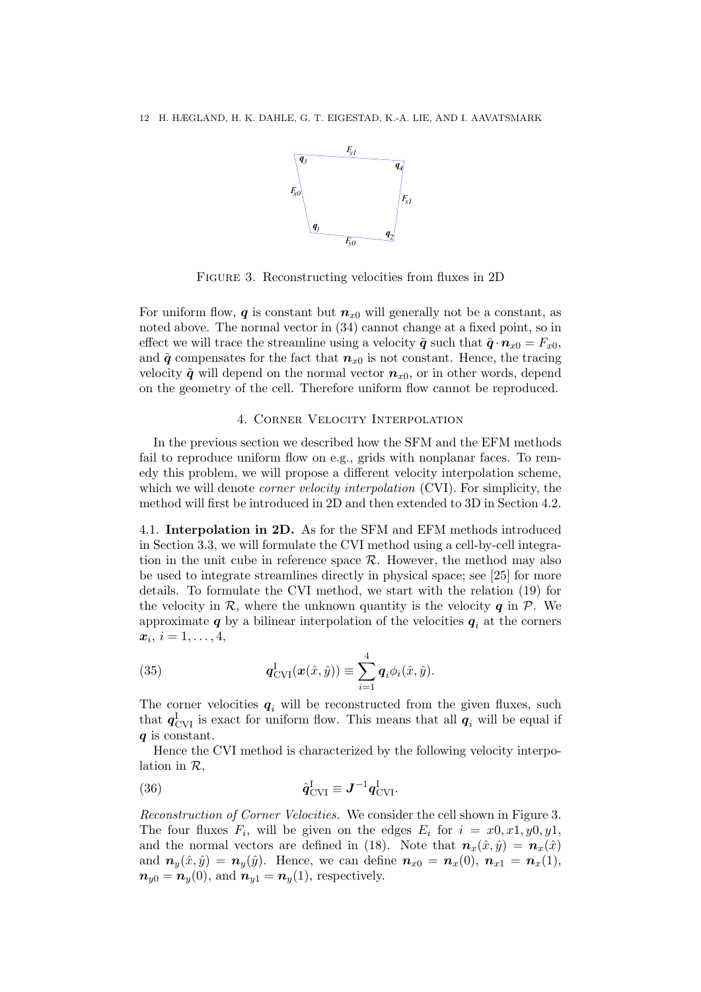

Figure 3. Reconstructing velocities from fluxes in 2D

For uniform flow, q is constant but  $n_{x0}$  will generally not be a constant, as noted above. The normal vector in (34) cannot change at a fixed point, so in effect we will trace the streamline using a velocity  $\tilde{\boldsymbol{q}}$  such that  $\tilde{\boldsymbol{q}} \cdot \boldsymbol{n}_{x0} = F_{x0}$ and  $\tilde{q}$  compensates for the fact that  $n_{x0}$  is not constant. Hence, the tracing velocity  $\tilde{q}$  will depend on the normal vector  $n_{x0}$ , or in other words, depend on the geometry of the cell. Therefore uniform flow cannot be reproduced.

### 4. Corner Velocity Interpolation

In the previous section we described how the SFM and the EFM methods fail to reproduce uniform flow on e.g., grids with nonplanar faces. To remedy this problem, we will propose a different velocity interpolation scheme, which we will denote *corner velocity interpolation* (CVI). For simplicity, the method will first be introduced in 2D and then extended to 3D in Section 4.2.

4.1. Interpolation in 2D. As for the SFM and EFM methods introduced in Section 3.3, we will formulate the CVI method using a cell-by-cell integration in the unit cube in reference space  $R$ . However, the method may also be used to integrate streamlines directly in physical space; see [25] for more details. To formulate the CVI method, we start with the relation (19) for the velocity in  $\mathcal{R}$ , where the unknown quantity is the velocity  $q$  in  $\mathcal{P}$ . We approximate  $q$  by a bilinear interpolation of the velocities  $q_i$  at the corners  $\boldsymbol{x}_i, i=1,\ldots,4,$ 

(35) 
$$
\boldsymbol{q}_{\text{CVI}}^{\text{I}}(\boldsymbol{x}(\hat{x}, \hat{y})) \equiv \sum_{i=1}^{4} \boldsymbol{q}_i \phi_i(\hat{x}, \hat{y}).
$$

The corner velocities  $q_i$  will be reconstructed from the given fluxes, such that  $q_{\text{CVI}}^{\text{I}}$  is exact for uniform flow. This means that all  $q_i$  will be equal if q is constant.

Hence the CVI method is characterized by the following velocity interpolation in  $\mathcal{R},$ 

(36) 
$$
\hat{\boldsymbol{q}}_{\text{CVI}}^{\text{I}} \equiv \boldsymbol{J}^{-1} \boldsymbol{q}_{\text{CVI}}^{\text{I}}.
$$

Reconstruction of Corner Velocities. We consider the cell shown in Figure 3. The four fluxes  $F_i$ , will be given on the edges  $E_i$  for  $i = x0, x1, y0, y1$ , and the normal vectors are defined in (18). Note that  $n_x(\hat{x}, \hat{y}) = n_x(\hat{x})$ and  $n_y(\hat{x}, \hat{y}) = n_y(\hat{y})$ . Hence, we can define  $n_{x0} = n_x(0)$ ,  $n_{x1} = n_x(1)$ ,  $n_{y0} = n_y(0)$ , and  $n_{y1} = n_y(1)$ , respectively.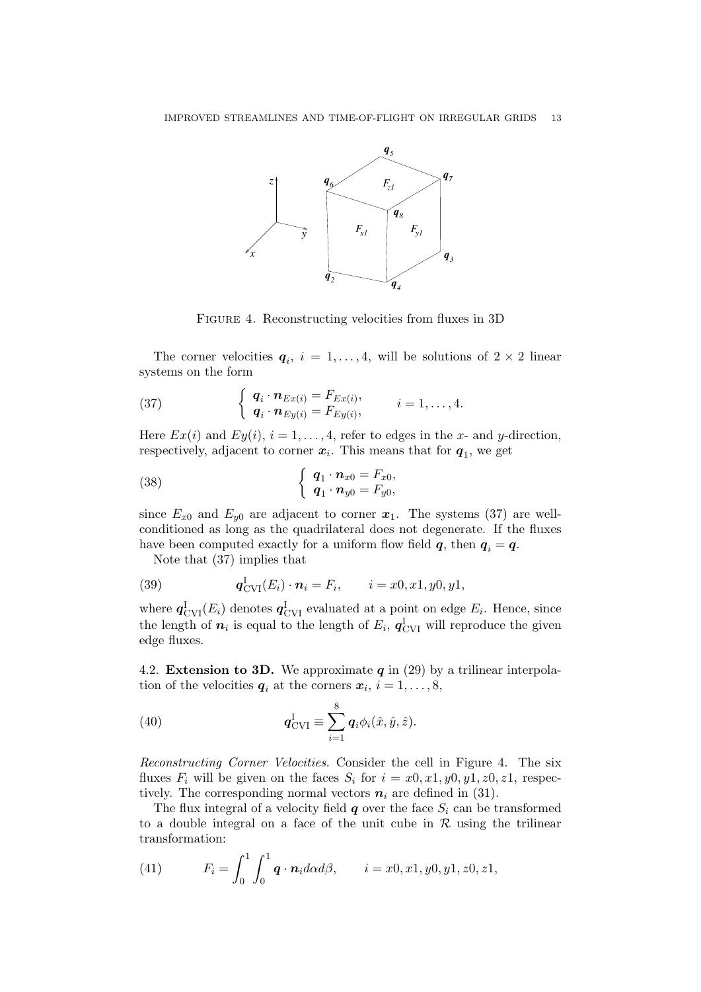

FIGURE 4. Reconstructing velocities from fluxes in 3D

The corner velocities  $q_i$ ,  $i = 1, ..., 4$ , will be solutions of  $2 \times 2$  linear systems on the form

(37) 
$$
\begin{cases} \mathbf{q}_i \cdot \mathbf{n}_{Ex(i)} = F_{Ex(i)}, \\ \mathbf{q}_i \cdot \mathbf{n}_{Ey(i)} = F_{Ey(i)}, \end{cases} i = 1, \ldots, 4.
$$

Here  $Ex(i)$  and  $Ey(i), i = 1, ..., 4$ , refer to edges in the x- and y-direction, respectively, adjacent to corner  $x_i$ . This means that for  $q_1$ , we get

(38) 
$$
\begin{cases} \boldsymbol{q}_1 \cdot \boldsymbol{n}_{x0} = F_{x0}, \\ \boldsymbol{q}_1 \cdot \boldsymbol{n}_{y0} = F_{y0}, \end{cases}
$$

since  $E_{x0}$  and  $E_{y0}$  are adjacent to corner  $x_1$ . The systems (37) are wellconditioned as long as the quadrilateral does not degenerate. If the fluxes have been computed exactly for a uniform flow field  $q$ , then  $q_i = q$ .

Note that (37) implies that

(39) 
$$
\mathbf{q}_{\text{CVI}}^{I}(E_i) \cdot \mathbf{n}_i = F_i, \qquad i = x0, x1, y0, y1,
$$

where  $q_{\text{CVI}}^{\text{I}}(E_i)$  denotes  $q_{\text{CVI}}^{\text{I}}$  evaluated at a point on edge  $E_i$ . Hence, since the length of  $n_i$  is equal to the length of  $E_i$ ,  $q_{\text{CVI}}^{\text{I}}$  will reproduce the given edge fluxes.

4.2. Extension to 3D. We approximate  $q$  in (29) by a trilinear interpolation of the velocities  $q_i$  at the corners  $x_i$ ,  $i = 1, \ldots, 8$ ,

(40) 
$$
\boldsymbol{q}_{\text{CVI}}^{\text{I}} \equiv \sum_{i=1}^{8} \boldsymbol{q}_i \phi_i(\hat{x}, \hat{y}, \hat{z}).
$$

Reconstructing Corner Velocities. Consider the cell in Figure 4. The six fluxes  $F_i$  will be given on the faces  $S_i$  for  $i = x0, x1, y0, y1, z0, z1$ , respectively. The corresponding normal vectors  $n_i$  are defined in (31).

The flux integral of a velocity field  $q$  over the face  $S_i$  can be transformed to a double integral on a face of the unit cube in  $\mathcal R$  using the trilinear transformation:

(41) 
$$
F_i = \int_0^1 \int_0^1 \mathbf{q} \cdot \mathbf{n}_i d\alpha d\beta, \qquad i = x0, x1, y0, y1, z0, z1,
$$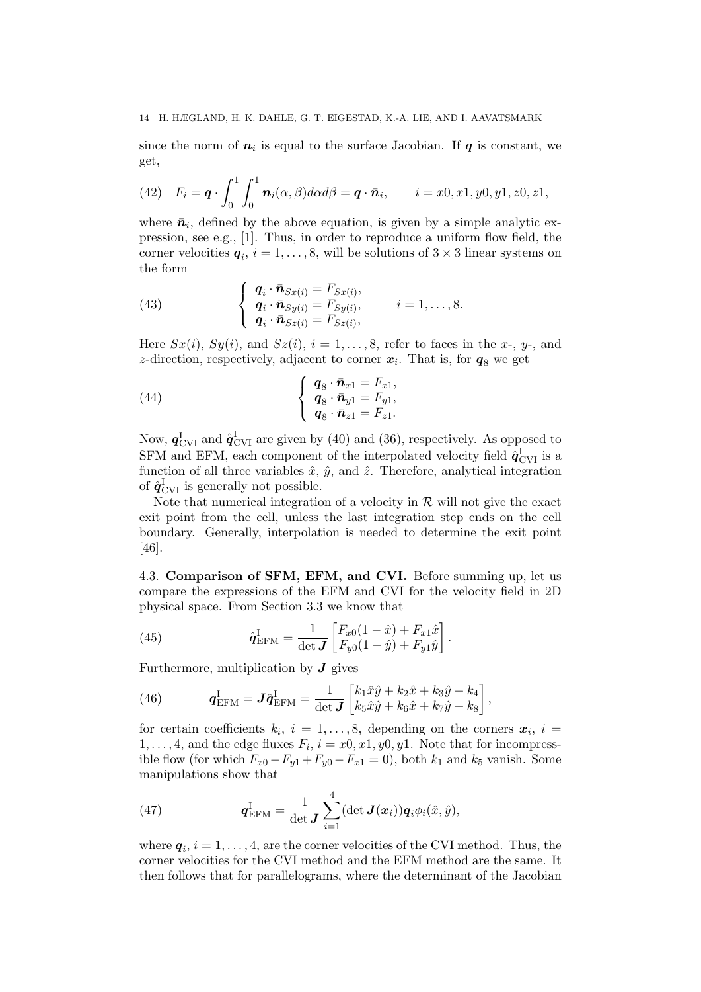since the norm of  $n_i$  is equal to the surface Jacobian. If  $q$  is constant, we get,

(42) 
$$
F_i = \boldsymbol{q} \cdot \int_0^1 \int_0^1 \boldsymbol{n}_i(\alpha, \beta) d\alpha d\beta = \boldsymbol{q} \cdot \bar{\boldsymbol{n}}_i, \qquad i = x0, x1, y0, y1, z0, z1,
$$

where  $\bar{n}_i$ , defined by the above equation, is given by a simple analytic expression, see e.g., [1]. Thus, in order to reproduce a uniform flow field, the corner velocities  $q_i$ ,  $i = 1, \ldots, 8$ , will be solutions of  $3 \times 3$  linear systems on the form

(43) 
$$
\begin{cases}\n\mathbf{q}_i \cdot \bar{\mathbf{n}}_{Sx(i)} = F_{Sx(i)}, \\
\mathbf{q}_i \cdot \bar{\mathbf{n}}_{Sy(i)} = F_{Sy(i)}, \\
\mathbf{q}_i \cdot \bar{\mathbf{n}}_{Sz(i)} = F_{Sz(i)},\n\end{cases}
$$
\n $i = 1, ..., 8.$ 

Here  $Sx(i)$ ,  $Sy(i)$ , and  $Sz(i)$ ,  $i = 1, \ldots, 8$ , refer to faces in the x-, y-, and z-direction, respectively, adjacent to corner  $x_i$ . That is, for  $q_8$  we get

(44) 
$$
\begin{cases} \boldsymbol{q}_8 \cdot \bar{\boldsymbol{n}}_{x1} = F_{x1}, \\ \boldsymbol{q}_8 \cdot \bar{\boldsymbol{n}}_{y1} = F_{y1}, \\ \boldsymbol{q}_8 \cdot \bar{\boldsymbol{n}}_{z1} = F_{z1}. \end{cases}
$$

Now,  $\boldsymbol{q}_{\rm CVI}^{\rm I}$  and  $\hat{\boldsymbol{q}}_{\rm CVI}^{\rm I}$  are given by (40) and (36), respectively. As opposed to SFM and EFM, each component of the interpolated velocity field  $\hat{q}^{\text{I}}_{\text{CVI}}$  is a function of all three variables  $\hat{x}$ ,  $\hat{y}$ , and  $\hat{z}$ . Therefore, analytical integration of  $\hat{\mathbf{q}}_{\text{CVI}}^{\text{I}}$  is generally not possible.

Note that numerical integration of a velocity in  $R$  will not give the exact exit point from the cell, unless the last integration step ends on the cell boundary. Generally, interpolation is needed to determine the exit point [46].

4.3. Comparison of SFM, EFM, and CVI. Before summing up, let us compare the expressions of the EFM and CVI for the velocity field in 2D physical space. From Section 3.3 we know that

(45) 
$$
\hat{q}_{\text{EFM}}^{\text{I}} = \frac{1}{\det \mathbf{J}} \begin{bmatrix} F_{x0}(1-\hat{x}) + F_{x1}\hat{x} \\ F_{y0}(1-\hat{y}) + F_{y1}\hat{y} \end{bmatrix}.
$$

Furthermore, multiplication by  $J$  gives

(46) 
$$
\mathbf{q}_{\text{EFM}}^{\text{I}} = \mathbf{J} \hat{\mathbf{q}}_{\text{EFM}}^{\text{I}} = \frac{1}{\det \mathbf{J}} \begin{bmatrix} k_1 \hat{x} \hat{y} + k_2 \hat{x} + k_3 \hat{y} + k_4 \\ k_5 \hat{x} \hat{y} + k_6 \hat{x} + k_7 \hat{y} + k_8 \end{bmatrix},
$$

for certain coefficients  $k_i$ ,  $i = 1, \ldots, 8$ , depending on the corners  $\boldsymbol{x}_i$ ,  $i =$  $1, \ldots, 4$ , and the edge fluxes  $F_i$ ,  $i = x0, x1, y0, y1$ . Note that for incompressible flow (for which  $F_{x0} - F_{y1} + F_{y0} - F_{x1} = 0$ ), both  $k_1$  and  $k_5$  vanish. Some manipulations show that

(47) 
$$
\boldsymbol{q}_{\text{EFM}}^{\text{I}} = \frac{1}{\det \boldsymbol{J}} \sum_{i=1}^{4} (\det \boldsymbol{J}(\boldsymbol{x}_i)) \boldsymbol{q}_i \phi_i(\hat{\boldsymbol{x}}, \hat{\boldsymbol{y}}),
$$

where  $q_i$ ,  $i = 1, \ldots, 4$ , are the corner velocities of the CVI method. Thus, the corner velocities for the CVI method and the EFM method are the same. It then follows that for parallelograms, where the determinant of the Jacobian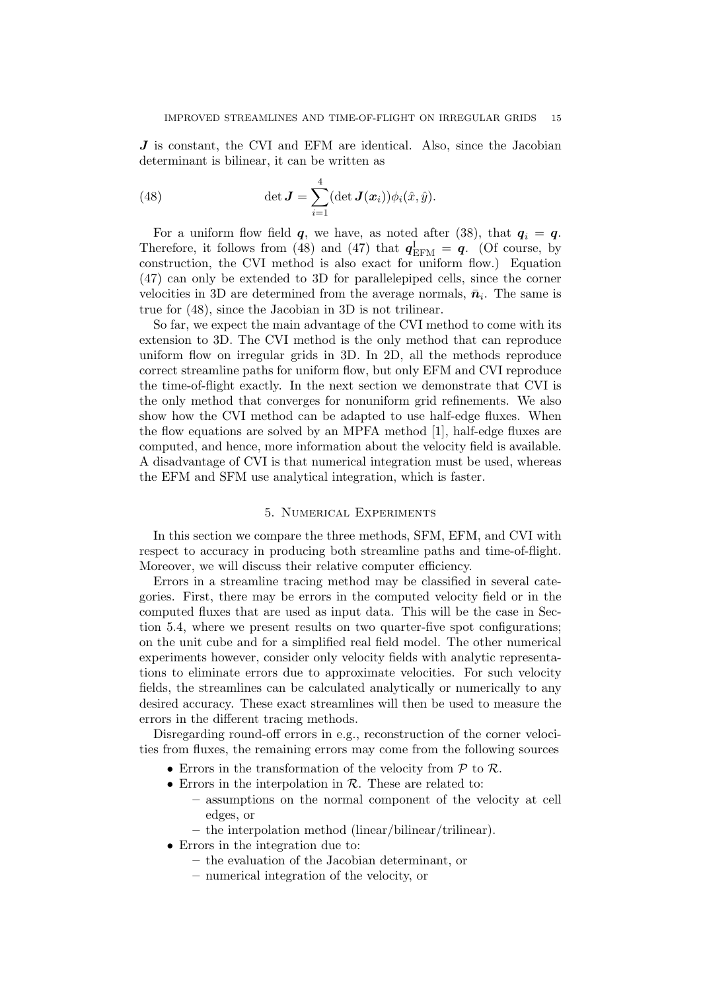J is constant, the CVI and EFM are identical. Also, since the Jacobian determinant is bilinear, it can be written as

(48) 
$$
\det \mathbf{J} = \sum_{i=1}^{4} (\det \mathbf{J}(\boldsymbol{x}_i)) \phi_i(\hat{x}, \hat{y}).
$$

For a uniform flow field  $q$ , we have, as noted after (38), that  $q_i = q$ . Therefore, it follows from (48) and (47) that  $q_{\text{EFM}}^{\text{I}} = q$ . (Of course, by construction, the CVI method is also exact for uniform flow.) Equation (47) can only be extended to 3D for parallelepiped cells, since the corner velocities in 3D are determined from the average normals,  $\bar{n}_i$ . The same is true for (48), since the Jacobian in 3D is not trilinear.

So far, we expect the main advantage of the CVI method to come with its extension to 3D. The CVI method is the only method that can reproduce uniform flow on irregular grids in 3D. In 2D, all the methods reproduce correct streamline paths for uniform flow, but only EFM and CVI reproduce the time-of-flight exactly. In the next section we demonstrate that CVI is the only method that converges for nonuniform grid refinements. We also show how the CVI method can be adapted to use half-edge fluxes. When the flow equations are solved by an MPFA method [1], half-edge fluxes are computed, and hence, more information about the velocity field is available. A disadvantage of CVI is that numerical integration must be used, whereas the EFM and SFM use analytical integration, which is faster.

### 5. Numerical Experiments

In this section we compare the three methods, SFM, EFM, and CVI with respect to accuracy in producing both streamline paths and time-of-flight. Moreover, we will discuss their relative computer efficiency.

Errors in a streamline tracing method may be classified in several categories. First, there may be errors in the computed velocity field or in the computed fluxes that are used as input data. This will be the case in Section 5.4, where we present results on two quarter-five spot configurations; on the unit cube and for a simplified real field model. The other numerical experiments however, consider only velocity fields with analytic representations to eliminate errors due to approximate velocities. For such velocity fields, the streamlines can be calculated analytically or numerically to any desired accuracy. These exact streamlines will then be used to measure the errors in the different tracing methods.

Disregarding round-off errors in e.g., reconstruction of the corner velocities from fluxes, the remaining errors may come from the following sources

- Errors in the transformation of the velocity from  $P$  to  $R$ .
- Errors in the interpolation in  $R$ . These are related to:
	- assumptions on the normal component of the velocity at cell edges, or
	- the interpolation method (linear/bilinear/trilinear).
- Errors in the integration due to:
	- the evaluation of the Jacobian determinant, or
	- numerical integration of the velocity, or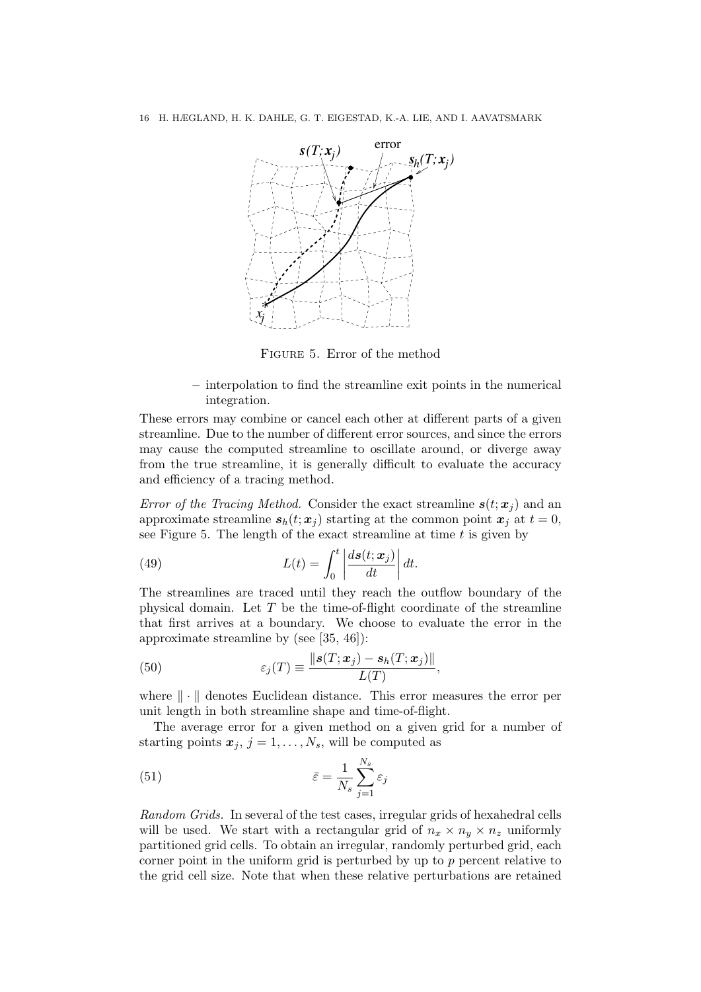

Figure 5. Error of the method

– interpolation to find the streamline exit points in the numerical integration.

These errors may combine or cancel each other at different parts of a given streamline. Due to the number of different error sources, and since the errors may cause the computed streamline to oscillate around, or diverge away from the true streamline, it is generally difficult to evaluate the accuracy and efficiency of a tracing method.

Error of the Tracing Method. Consider the exact streamline  $s(t; x<sub>j</sub>)$  and an approximate streamline  $s_h(t; x_j)$  starting at the common point  $x_j$  at  $t = 0$ , see Figure 5. The length of the exact streamline at time  $t$  is given by

(49) 
$$
L(t) = \int_0^t \left| \frac{ds(t; \boldsymbol{x}_j)}{dt} \right| dt.
$$

The streamlines are traced until they reach the outflow boundary of the physical domain. Let  $T$  be the time-of-flight coordinate of the streamline that first arrives at a boundary. We choose to evaluate the error in the approximate streamline by (see [35, 46]):

(50) 
$$
\varepsilon_j(T) \equiv \frac{\|s(T; x_j) - s_h(T; x_j)\|}{L(T)},
$$

where  $\|\cdot\|$  denotes Euclidean distance. This error measures the error per unit length in both streamline shape and time-of-flight.

The average error for a given method on a given grid for a number of starting points  $x_j$ ,  $j = 1, ..., N_s$ , will be computed as

(51) 
$$
\bar{\varepsilon} = \frac{1}{N_s} \sum_{j=1}^{N_s} \varepsilon_j
$$

Random Grids. In several of the test cases, irregular grids of hexahedral cells will be used. We start with a rectangular grid of  $n_x \times n_y \times n_z$  uniformly partitioned grid cells. To obtain an irregular, randomly perturbed grid, each corner point in the uniform grid is perturbed by up to  $p$  percent relative to the grid cell size. Note that when these relative perturbations are retained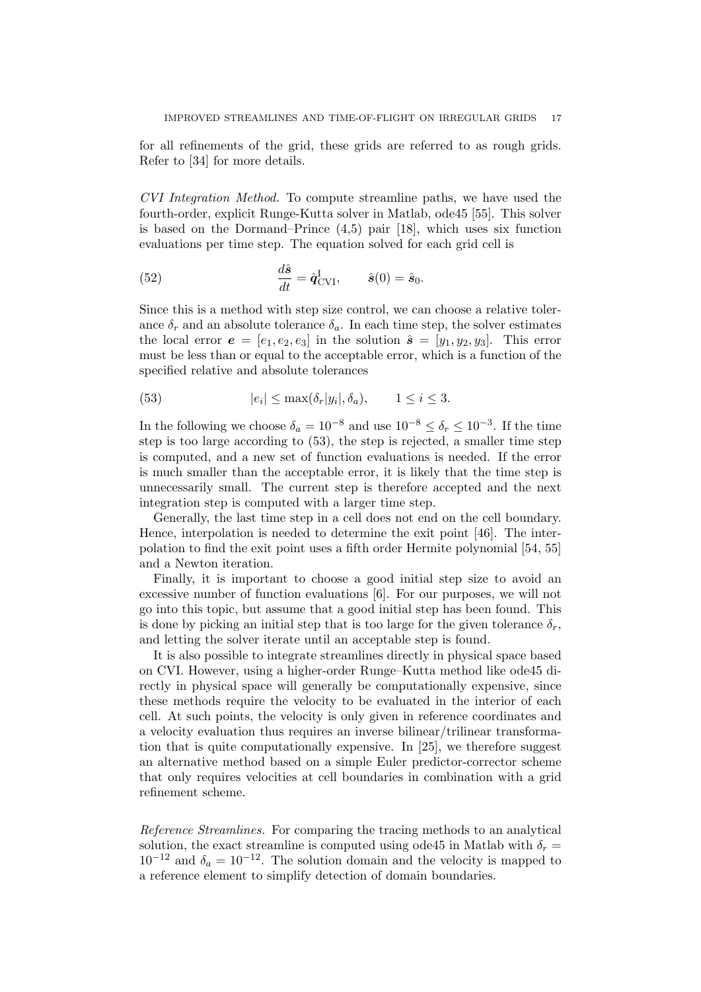for all refinements of the grid, these grids are referred to as rough grids. Refer to [34] for more details.

CVI Integration Method. To compute streamline paths, we have used the fourth-order, explicit Runge-Kutta solver in Matlab, ode45 [55]. This solver is based on the Dormand–Prince (4,5) pair [18], which uses six function evaluations per time step. The equation solved for each grid cell is

(52) 
$$
\frac{d\hat{\mathbf{s}}}{dt} = \hat{\mathbf{q}}_{\text{CVI}}^{\text{I}}, \qquad \hat{\mathbf{s}}(0) = \hat{\mathbf{s}}_0.
$$

Since this is a method with step size control, we can choose a relative tolerance  $\delta_r$  and an absolute tolerance  $\delta_a$ . In each time step, the solver estimates the local error  $e = [e_1, e_2, e_3]$  in the solution  $\hat{s} = [y_1, y_2, y_3]$ . This error must be less than or equal to the acceptable error, which is a function of the specified relative and absolute tolerances

(53) 
$$
|e_i| \le \max(\delta_r|y_i|, \delta_a), \qquad 1 \le i \le 3.
$$

In the following we choose  $\delta_a = 10^{-8}$  and use  $10^{-8} \le \delta_r \le 10^{-3}$ . If the time step is too large according to (53), the step is rejected, a smaller time step is computed, and a new set of function evaluations is needed. If the error is much smaller than the acceptable error, it is likely that the time step is unnecessarily small. The current step is therefore accepted and the next integration step is computed with a larger time step.

Generally, the last time step in a cell does not end on the cell boundary. Hence, interpolation is needed to determine the exit point [46]. The interpolation to find the exit point uses a fifth order Hermite polynomial [54, 55] and a Newton iteration.

Finally, it is important to choose a good initial step size to avoid an excessive number of function evaluations [6]. For our purposes, we will not go into this topic, but assume that a good initial step has been found. This is done by picking an initial step that is too large for the given tolerance  $\delta_r$ , and letting the solver iterate until an acceptable step is found.

It is also possible to integrate streamlines directly in physical space based on CVI. However, using a higher-order Runge–Kutta method like ode45 directly in physical space will generally be computationally expensive, since these methods require the velocity to be evaluated in the interior of each cell. At such points, the velocity is only given in reference coordinates and a velocity evaluation thus requires an inverse bilinear/trilinear transformation that is quite computationally expensive. In [25], we therefore suggest an alternative method based on a simple Euler predictor-corrector scheme that only requires velocities at cell boundaries in combination with a grid refinement scheme.

Reference Streamlines. For comparing the tracing methods to an analytical solution, the exact streamline is computed using ode45 in Matlab with  $\delta_r =$  $10^{-12}$  and  $\delta_a = 10^{-12}$ . The solution domain and the velocity is mapped to a reference element to simplify detection of domain boundaries.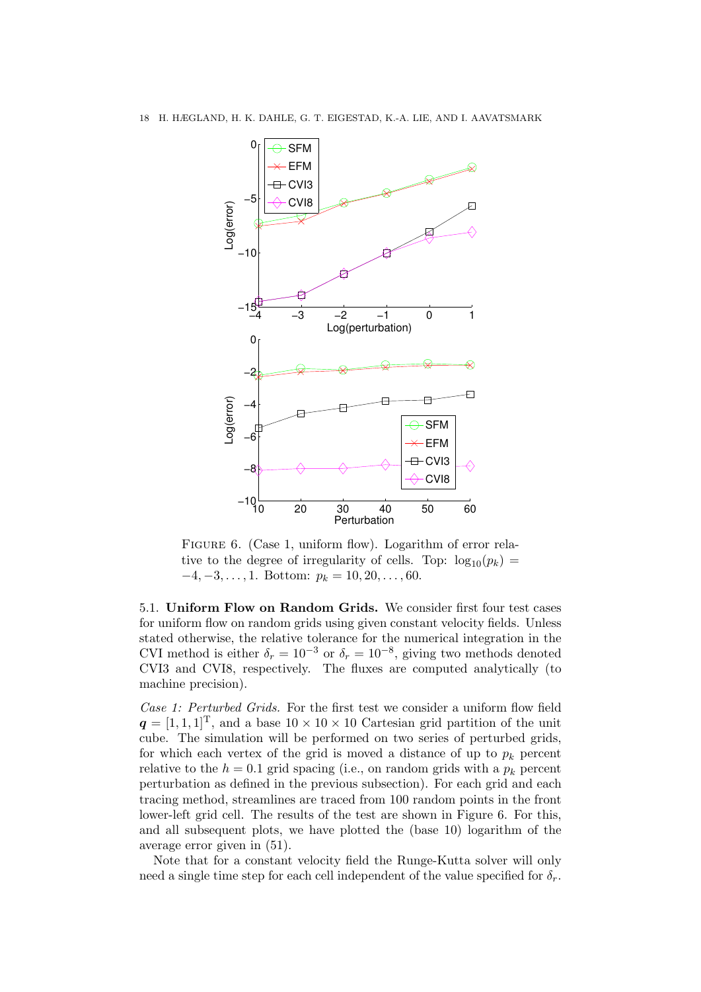

FIGURE 6. (Case 1, uniform flow). Logarithm of error relative to the degree of irregularity of cells. Top:  $log_{10}(p_k)$  =  $-4, -3, \ldots, 1$ . Bottom:  $p_k = 10, 20, \ldots, 60$ .

5.1. Uniform Flow on Random Grids. We consider first four test cases for uniform flow on random grids using given constant velocity fields. Unless stated otherwise, the relative tolerance for the numerical integration in the CVI method is either  $\delta_r = 10^{-3}$  or  $\delta_r = 10^{-8}$ , giving two methods denoted CVI3 and CVI8, respectively. The fluxes are computed analytically (to machine precision).

Case 1: Perturbed Grids. For the first test we consider a uniform flow field  $q = [1, 1, 1]^T$ , and a base  $10 \times 10 \times 10$  Cartesian grid partition of the unit cube. The simulation will be performed on two series of perturbed grids, for which each vertex of the grid is moved a distance of up to  $p_k$  percent relative to the  $h = 0.1$  grid spacing (i.e., on random grids with a  $p_k$  percent perturbation as defined in the previous subsection). For each grid and each tracing method, streamlines are traced from 100 random points in the front lower-left grid cell. The results of the test are shown in Figure 6. For this, and all subsequent plots, we have plotted the (base 10) logarithm of the average error given in (51).

Note that for a constant velocity field the Runge-Kutta solver will only need a single time step for each cell independent of the value specified for  $\delta_r$ .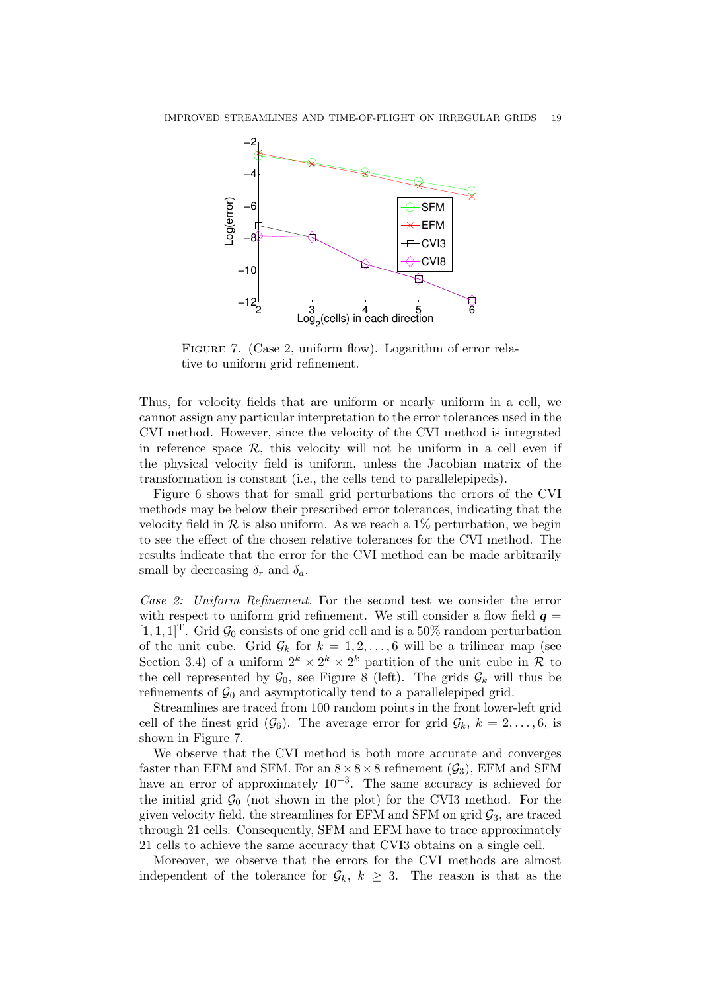

FIGURE 7. (Case 2, uniform flow). Logarithm of error relative to uniform grid refinement.

Thus, for velocity fields that are uniform or nearly uniform in a cell, we cannot assign any particular interpretation to the error tolerances used in the CVI method. However, since the velocity of the CVI method is integrated in reference space  $\mathcal{R}$ , this velocity will not be uniform in a cell even if the physical velocity field is uniform, unless the Jacobian matrix of the transformation is constant (i.e., the cells tend to parallelepipeds).

Figure 6 shows that for small grid perturbations the errors of the CVI methods may be below their prescribed error tolerances, indicating that the velocity field in  $\mathcal R$  is also uniform. As we reach a 1\% perturbation, we begin to see the effect of the chosen relative tolerances for the CVI method. The results indicate that the error for the CVI method can be made arbitrarily small by decreasing  $\delta_r$  and  $\delta_a$ .

Case 2: Uniform Refinement. For the second test we consider the error with respect to uniform grid refinement. We still consider a flow field  $q =$  $[1, 1, 1]^T$ . Grid  $\mathcal{G}_0$  consists of one grid cell and is a 50% random perturbation of the unit cube. Grid  $\mathcal{G}_k$  for  $k = 1, 2, \ldots, 6$  will be a trilinear map (see Section 3.4) of a uniform  $2^k \times 2^k \times 2^k$  partition of the unit cube in R to the cell represented by  $\mathcal{G}_0$ , see Figure 8 (left). The grids  $\mathcal{G}_k$  will thus be refinements of  $\mathcal{G}_0$  and asymptotically tend to a parallelepiped grid.

Streamlines are traced from 100 random points in the front lower-left grid cell of the finest grid  $(\mathcal{G}_6)$ . The average error for grid  $\mathcal{G}_k$ ,  $k = 2, \ldots, 6$ , is shown in Figure 7.

We observe that the CVI method is both more accurate and converges faster than EFM and SFM. For an  $8 \times 8 \times 8$  refinement  $(\mathcal{G}_3)$ , EFM and SFM have an error of approximately  $10^{-3}$ . The same accuracy is achieved for the initial grid  $\mathcal{G}_0$  (not shown in the plot) for the CVI3 method. For the given velocity field, the streamlines for EFM and SFM on grid  $\mathcal{G}_3$ , are traced through 21 cells. Consequently, SFM and EFM have to trace approximately 21 cells to achieve the same accuracy that CVI3 obtains on a single cell.

Moreover, we observe that the errors for the CVI methods are almost independent of the tolerance for  $\mathcal{G}_k$ ,  $k \geq 3$ . The reason is that as the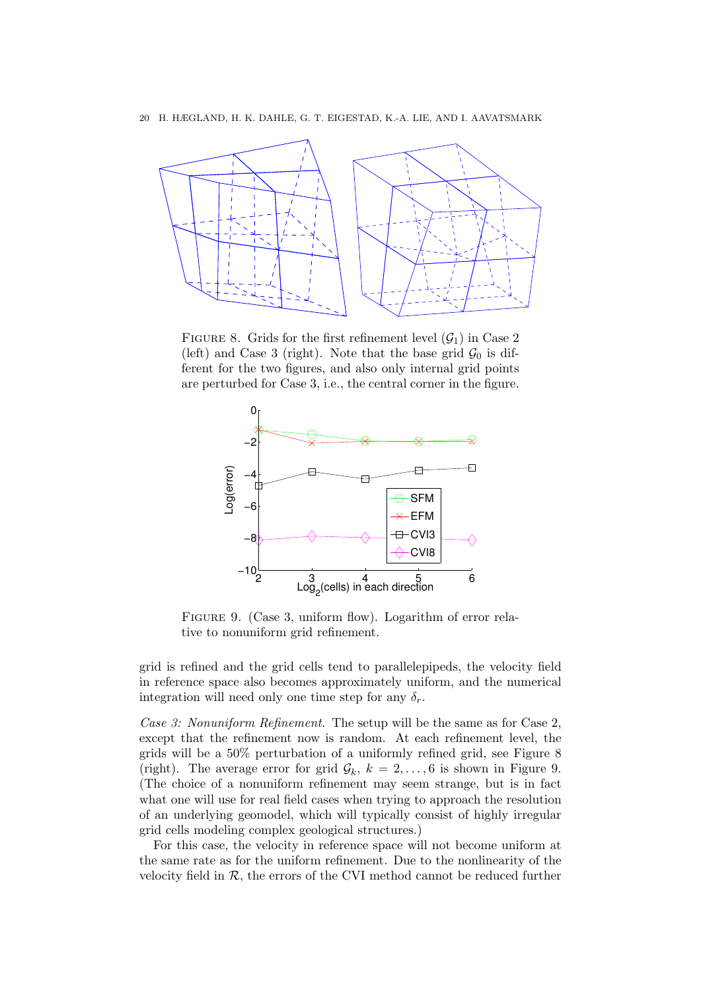

FIGURE 8. Grids for the first refinement level  $(\mathcal{G}_1)$  in Case 2 (left) and Case 3 (right). Note that the base grid  $\mathcal{G}_0$  is different for the two figures, and also only internal grid points are perturbed for Case 3, i.e., the central corner in the figure.



FIGURE 9. (Case 3, uniform flow). Logarithm of error relative to nonuniform grid refinement.

grid is refined and the grid cells tend to parallelepipeds, the velocity field in reference space also becomes approximately uniform, and the numerical integration will need only one time step for any  $\delta_r$ .

Case 3: Nonuniform Refinement. The setup will be the same as for Case 2. except that the refinement now is random. At each refinement level, the grids will be a 50% perturbation of a uniformly refined grid, see Figure 8 (right). The average error for grid  $\mathcal{G}_k$ ,  $k = 2, \ldots, 6$  is shown in Figure 9. (The choice of a nonuniform refinement may seem strange, but is in fact what one will use for real field cases when trying to approach the resolution of an underlying geomodel, which will typically consist of highly irregular grid cells modeling complex geological structures.)

For this case, the velocity in reference space will not become uniform at the same rate as for the uniform refinement. Due to the nonlinearity of the velocity field in  $R$ , the errors of the CVI method cannot be reduced further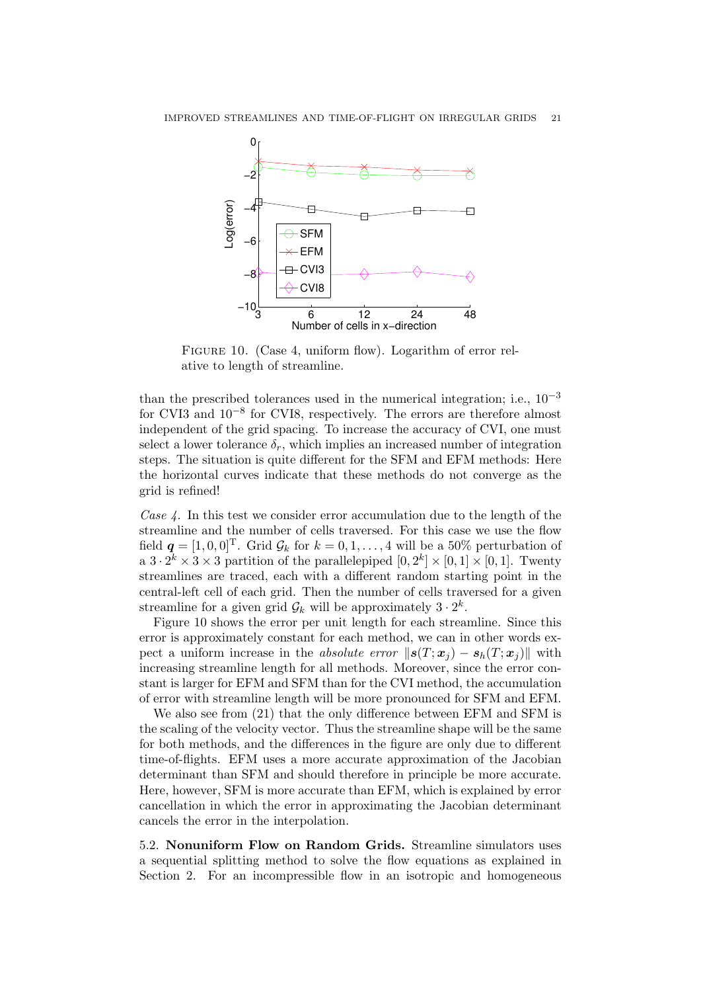

FIGURE 10. (Case 4, uniform flow). Logarithm of error relative to length of streamline.

than the prescribed tolerances used in the numerical integration; i.e.,  $10^{-3}$ for CVI3 and 10−<sup>8</sup> for CVI8, respectively. The errors are therefore almost independent of the grid spacing. To increase the accuracy of CVI, one must select a lower tolerance  $\delta_r$ , which implies an increased number of integration steps. The situation is quite different for the SFM and EFM methods: Here the horizontal curves indicate that these methods do not converge as the grid is refined!

Case  $\lambda$ . In this test we consider error accumulation due to the length of the streamline and the number of cells traversed. For this case we use the flow field  $q = [1, 0, 0]^T$ . Grid  $\mathcal{G}_k$  for  $k = 0, 1, \ldots, 4$  will be a 50% perturbation of a  $3 \cdot 2^k \times 3 \times 3$  partition of the parallelepiped  $[0, 2^k] \times [0, 1] \times [0, 1]$ . Twenty streamlines are traced, each with a different random starting point in the central-left cell of each grid. Then the number of cells traversed for a given streamline for a given grid  $\mathcal{G}_k$  will be approximately  $3 \cdot 2^k$ .

Figure 10 shows the error per unit length for each streamline. Since this error is approximately constant for each method, we can in other words expect a uniform increase in the absolute error  $||s(T; x_i) - s_h(T; x_i)||$  with increasing streamline length for all methods. Moreover, since the error constant is larger for EFM and SFM than for the CVI method, the accumulation of error with streamline length will be more pronounced for SFM and EFM.

We also see from  $(21)$  that the only difference between EFM and SFM is the scaling of the velocity vector. Thus the streamline shape will be the same for both methods, and the differences in the figure are only due to different time-of-flights. EFM uses a more accurate approximation of the Jacobian determinant than SFM and should therefore in principle be more accurate. Here, however, SFM is more accurate than EFM, which is explained by error cancellation in which the error in approximating the Jacobian determinant cancels the error in the interpolation.

5.2. Nonuniform Flow on Random Grids. Streamline simulators uses a sequential splitting method to solve the flow equations as explained in Section 2. For an incompressible flow in an isotropic and homogeneous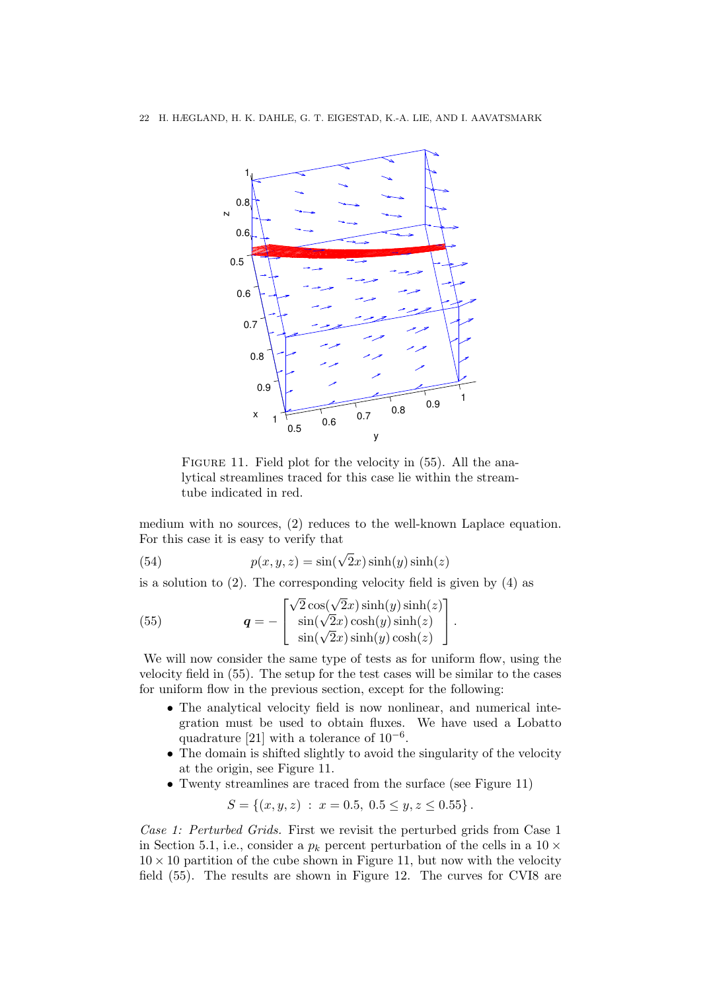

FIGURE 11. Field plot for the velocity in  $(55)$ . All the analytical streamlines traced for this case lie within the streamtube indicated in red.

medium with no sources, (2) reduces to the well-known Laplace equation. For this case it is easy to verify that

(54) 
$$
p(x, y, z) = \sin(\sqrt{2}x)\sinh(y)\sinh(z)
$$

is a solution to (2). The corresponding velocity field is given by (4) as

(55) 
$$
\mathbf{q} = -\begin{bmatrix} \sqrt{2}\cos(\sqrt{2}x)\sinh(y)\sinh(z) \\ \sin(\sqrt{2}x)\cosh(y)\sinh(z) \\ \sin(\sqrt{2}x)\sinh(y)\cosh(z) \end{bmatrix}.
$$

We will now consider the same type of tests as for uniform flow, using the velocity field in (55). The setup for the test cases will be similar to the cases for uniform flow in the previous section, except for the following:

- The analytical velocity field is now nonlinear, and numerical integration must be used to obtain fluxes. We have used a Lobatto quadrature [21] with a tolerance of  $10^{-6}$ .
- The domain is shifted slightly to avoid the singularity of the velocity at the origin, see Figure 11.
- Twenty streamlines are traced from the surface (see Figure 11)

$$
S = \{(x, y, z) : x = 0.5, 0.5 \le y, z \le 0.55\}.
$$

Case 1: Perturbed Grids. First we revisit the perturbed grids from Case 1 in Section 5.1, i.e., consider a  $p_k$  percent perturbation of the cells in a 10  $\times$  $10 \times 10$  partition of the cube shown in Figure 11, but now with the velocity field (55). The results are shown in Figure 12. The curves for CVI8 are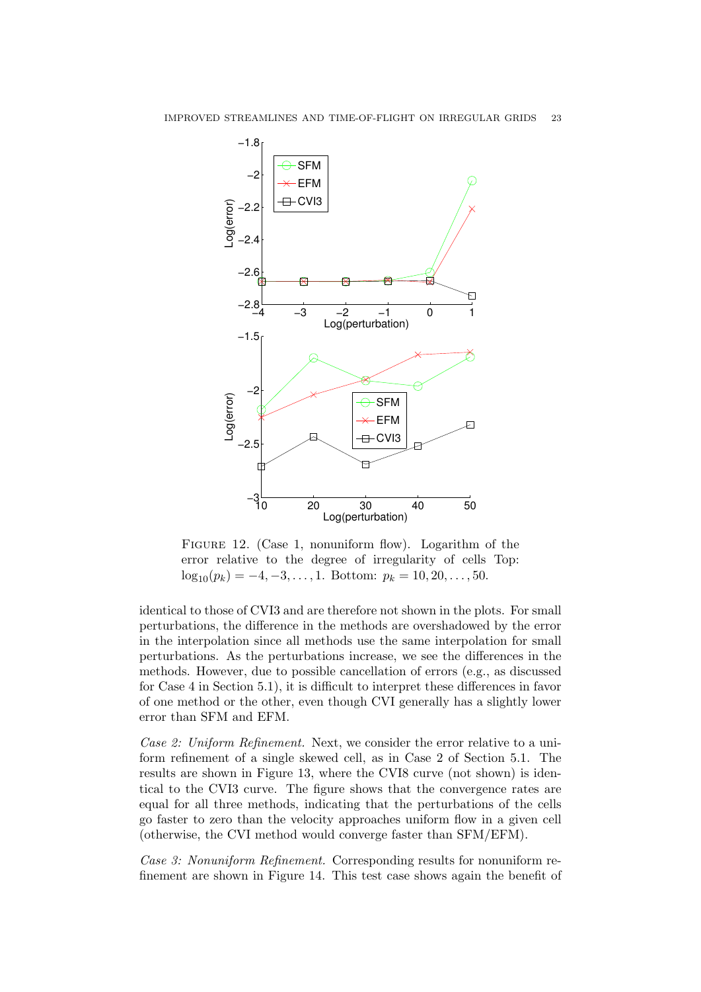

FIGURE 12. (Case 1, nonuniform flow). Logarithm of the error relative to the degree of irregularity of cells Top:  $\log_{10}(p_k) = -4, -3, \ldots, 1$ . Bottom:  $p_k = 10, 20, \ldots, 50$ .

identical to those of CVI3 and are therefore not shown in the plots. For small perturbations, the difference in the methods are overshadowed by the error in the interpolation since all methods use the same interpolation for small perturbations. As the perturbations increase, we see the differences in the methods. However, due to possible cancellation of errors (e.g., as discussed for Case 4 in Section 5.1), it is difficult to interpret these differences in favor of one method or the other, even though CVI generally has a slightly lower error than SFM and EFM.

Case 2: Uniform Refinement. Next, we consider the error relative to a uniform refinement of a single skewed cell, as in Case 2 of Section 5.1. The results are shown in Figure 13, where the CVI8 curve (not shown) is identical to the CVI3 curve. The figure shows that the convergence rates are equal for all three methods, indicating that the perturbations of the cells go faster to zero than the velocity approaches uniform flow in a given cell (otherwise, the CVI method would converge faster than SFM/EFM).

Case 3: Nonuniform Refinement. Corresponding results for nonuniform refinement are shown in Figure 14. This test case shows again the benefit of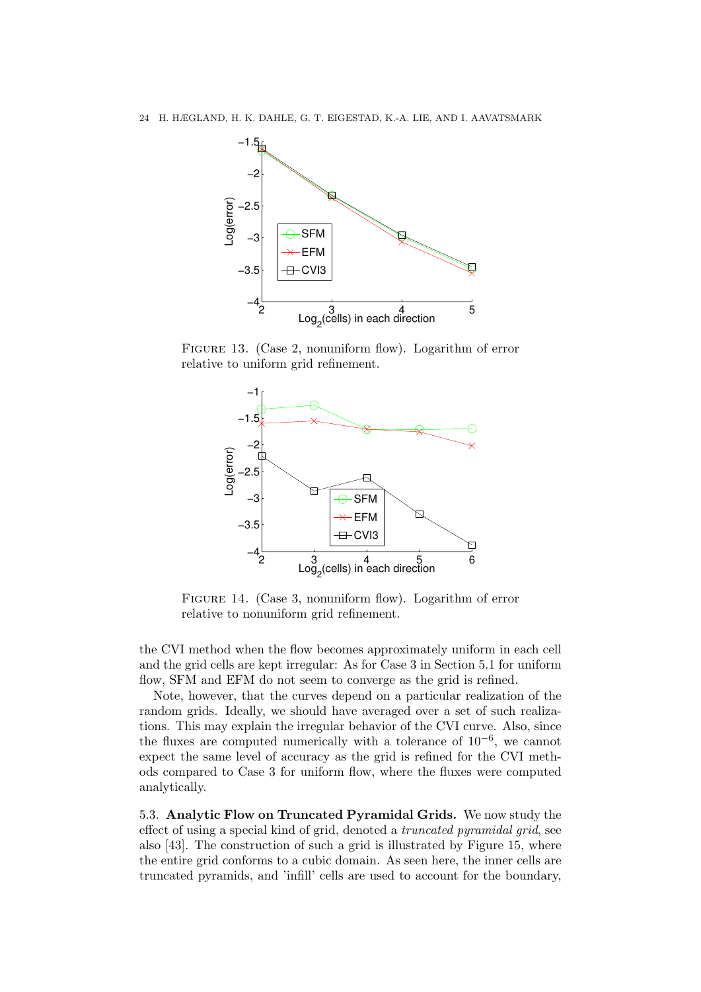

FIGURE 13. (Case 2, nonuniform flow). Logarithm of error relative to uniform grid refinement.



FIGURE 14. (Case 3, nonuniform flow). Logarithm of error relative to nonuniform grid refinement.

the CVI method when the flow becomes approximately uniform in each cell and the grid cells are kept irregular: As for Case 3 in Section 5.1 for uniform flow, SFM and EFM do not seem to converge as the grid is refined.

Note, however, that the curves depend on a particular realization of the random grids. Ideally, we should have averaged over a set of such realizations. This may explain the irregular behavior of the CVI curve. Also, since the fluxes are computed numerically with a tolerance of  $10^{-6}$ , we cannot expect the same level of accuracy as the grid is refined for the CVI methods compared to Case 3 for uniform flow, where the fluxes were computed analytically.

5.3. Analytic Flow on Truncated Pyramidal Grids. We now study the effect of using a special kind of grid, denoted a truncated pyramidal grid, see also [43]. The construction of such a grid is illustrated by Figure 15, where the entire grid conforms to a cubic domain. As seen here, the inner cells are truncated pyramids, and 'infill' cells are used to account for the boundary,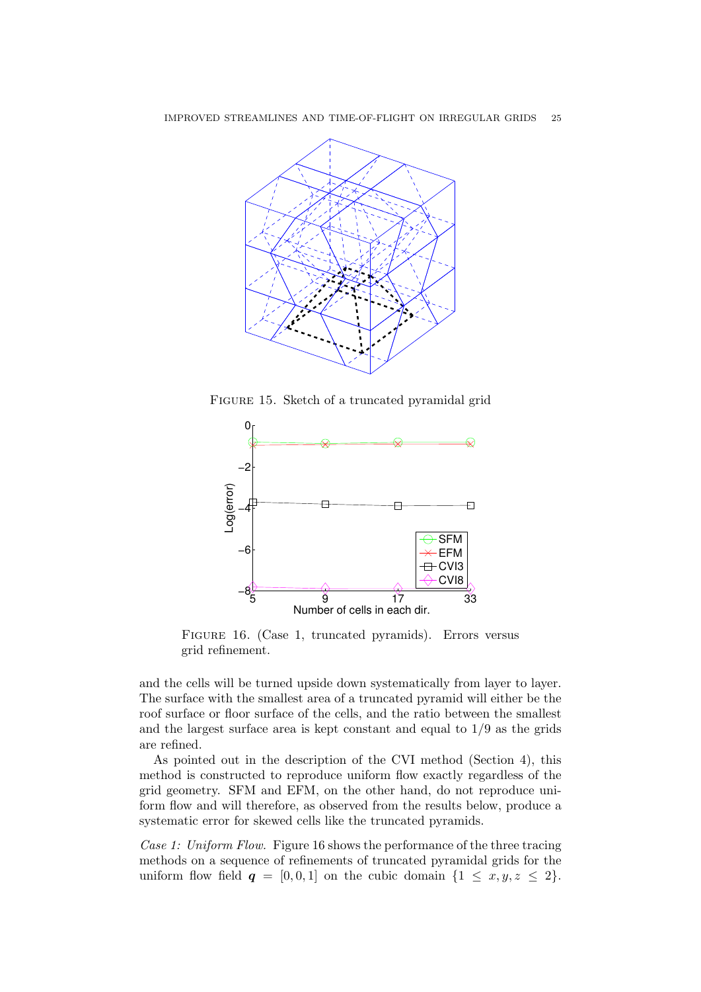

Figure 15. Sketch of a truncated pyramidal grid



FIGURE 16. (Case 1, truncated pyramids). Errors versus grid refinement.

and the cells will be turned upside down systematically from layer to layer. The surface with the smallest area of a truncated pyramid will either be the roof surface or floor surface of the cells, and the ratio between the smallest and the largest surface area is kept constant and equal to 1/9 as the grids are refined.

As pointed out in the description of the CVI method (Section 4), this method is constructed to reproduce uniform flow exactly regardless of the grid geometry. SFM and EFM, on the other hand, do not reproduce uniform flow and will therefore, as observed from the results below, produce a systematic error for skewed cells like the truncated pyramids.

Case 1: Uniform Flow. Figure 16 shows the performance of the three tracing methods on a sequence of refinements of truncated pyramidal grids for the uniform flow field  $q = [0, 0, 1]$  on the cubic domain  $\{1 \leq x, y, z \leq 2\}$ .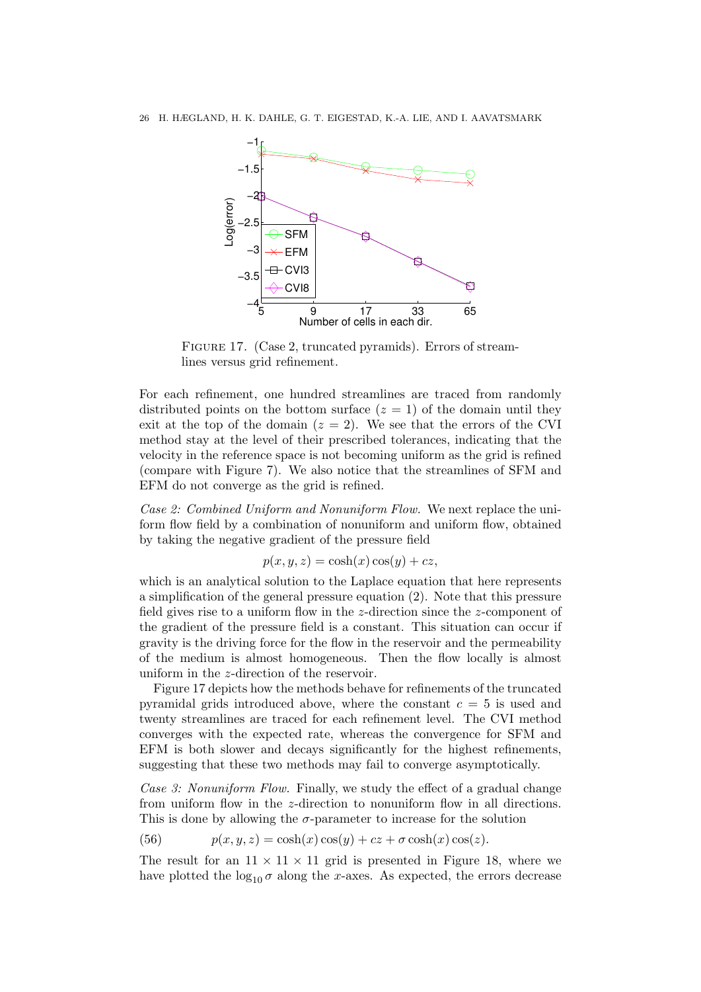

FIGURE 17. (Case 2, truncated pyramids). Errors of streamlines versus grid refinement.

For each refinement, one hundred streamlines are traced from randomly distributed points on the bottom surface  $(z = 1)$  of the domain until they exit at the top of the domain  $(z = 2)$ . We see that the errors of the CVI method stay at the level of their prescribed tolerances, indicating that the velocity in the reference space is not becoming uniform as the grid is refined (compare with Figure 7). We also notice that the streamlines of SFM and EFM do not converge as the grid is refined.

Case 2: Combined Uniform and Nonuniform Flow. We next replace the uniform flow field by a combination of nonuniform and uniform flow, obtained by taking the negative gradient of the pressure field

$$
p(x, y, z) = \cosh(x)\cos(y) + cz,
$$

which is an analytical solution to the Laplace equation that here represents a simplification of the general pressure equation (2). Note that this pressure field gives rise to a uniform flow in the z-direction since the z-component of the gradient of the pressure field is a constant. This situation can occur if gravity is the driving force for the flow in the reservoir and the permeability of the medium is almost homogeneous. Then the flow locally is almost uniform in the z-direction of the reservoir.

Figure 17 depicts how the methods behave for refinements of the truncated pyramidal grids introduced above, where the constant  $c = 5$  is used and twenty streamlines are traced for each refinement level. The CVI method converges with the expected rate, whereas the convergence for SFM and EFM is both slower and decays significantly for the highest refinements, suggesting that these two methods may fail to converge asymptotically.

Case 3: Nonuniform Flow. Finally, we study the effect of a gradual change from uniform flow in the z-direction to nonuniform flow in all directions. This is done by allowing the  $\sigma$ -parameter to increase for the solution

(56) 
$$
p(x, y, z) = \cosh(x)\cos(y) + cz + \sigma \cosh(x)\cos(z).
$$

The result for an  $11 \times 11 \times 11$  grid is presented in Figure 18, where we have plotted the  $\log_{10} \sigma$  along the x-axes. As expected, the errors decrease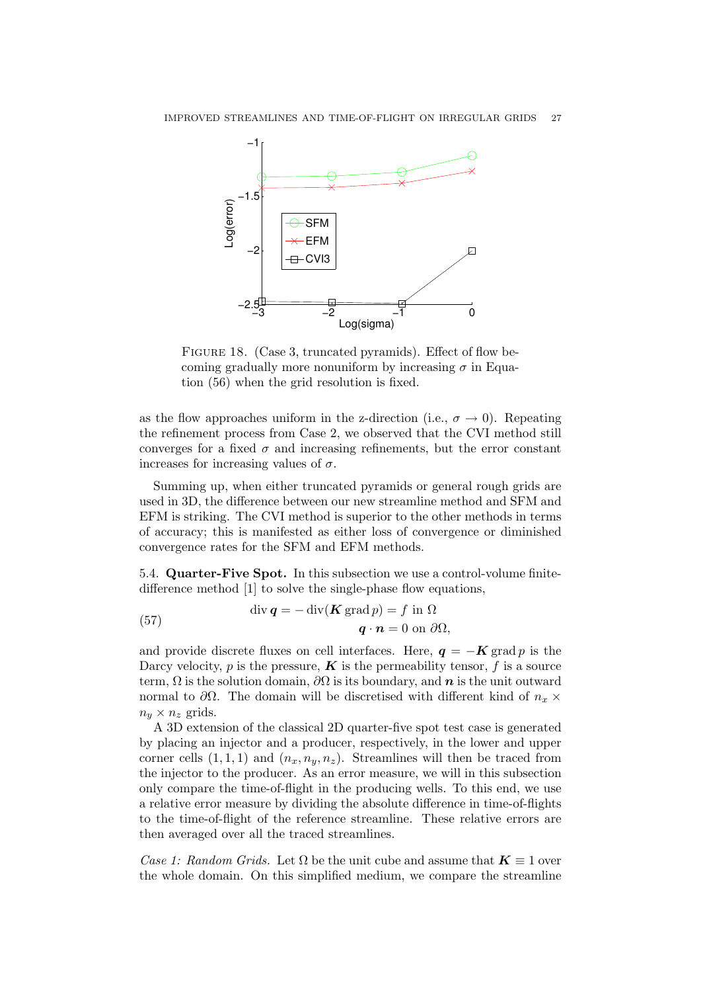

FIGURE 18. (Case 3, truncated pyramids). Effect of flow becoming gradually more nonuniform by increasing  $\sigma$  in Equation (56) when the grid resolution is fixed.

as the flow approaches uniform in the z-direction (i.e.,  $\sigma \to 0$ ). Repeating the refinement process from Case 2, we observed that the CVI method still converges for a fixed  $\sigma$  and increasing refinements, but the error constant increases for increasing values of  $\sigma$ .

Summing up, when either truncated pyramids or general rough grids are used in 3D, the difference between our new streamline method and SFM and EFM is striking. The CVI method is superior to the other methods in terms of accuracy; this is manifested as either loss of convergence or diminished convergence rates for the SFM and EFM methods.

5.4. Quarter-Five Spot. In this subsection we use a control-volume finitedifference method [1] to solve the single-phase flow equations,

(57) 
$$
\operatorname{div} \mathbf{q} = -\operatorname{div}(\mathbf{K} \operatorname{grad} p) = f \text{ in } \Omega
$$

$$
\mathbf{q} \cdot \mathbf{n} = 0 \text{ on } \partial \Omega,
$$

and provide discrete fluxes on cell interfaces. Here,  $q = -K \text{ grad } p$  is the Darcy velocity, p is the pressure,  $\boldsymbol{K}$  is the permeability tensor, f is a source term,  $\Omega$  is the solution domain,  $\partial\Omega$  is its boundary, and n is the unit outward normal to  $\partial\Omega$ . The domain will be discretised with different kind of  $n_x \times$  $n_y \times n_z$  grids.

A 3D extension of the classical 2D quarter-five spot test case is generated by placing an injector and a producer, respectively, in the lower and upper corner cells  $(1, 1, 1)$  and  $(n_x, n_y, n_z)$ . Streamlines will then be traced from the injector to the producer. As an error measure, we will in this subsection only compare the time-of-flight in the producing wells. To this end, we use a relative error measure by dividing the absolute difference in time-of-flights to the time-of-flight of the reference streamline. These relative errors are then averaged over all the traced streamlines.

Case 1: Random Grids. Let  $\Omega$  be the unit cube and assume that  $\mathbf{K} \equiv 1$  over the whole domain. On this simplified medium, we compare the streamline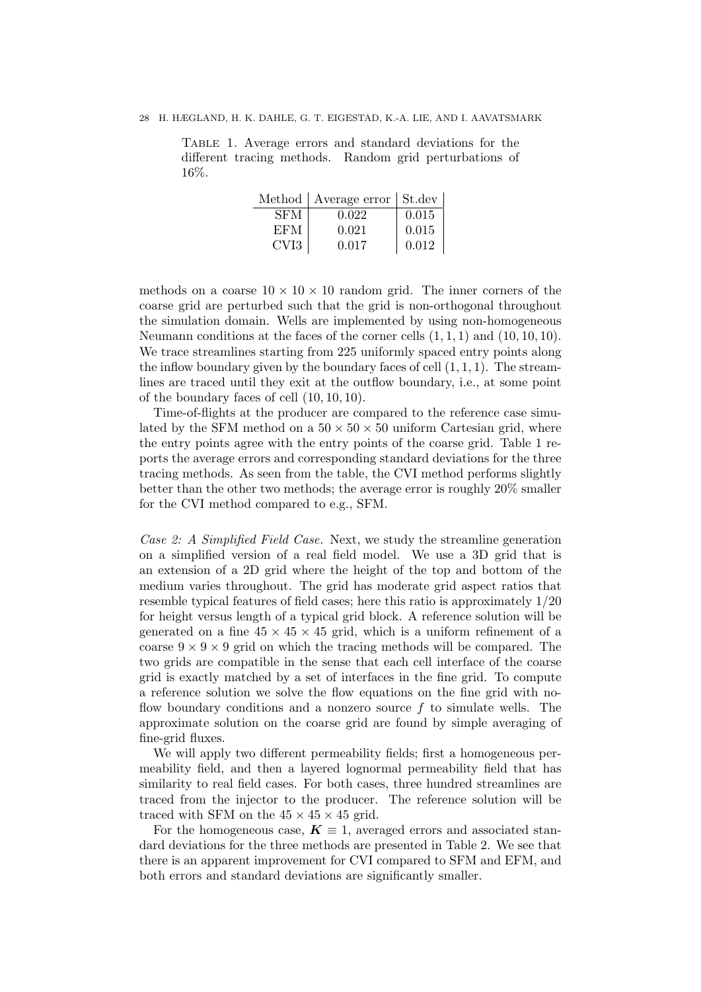Table 1. Average errors and standard deviations for the different tracing methods. Random grid perturbations of 16%.

|                  | Method   Average error   St.dev |       |
|------------------|---------------------------------|-------|
| <b>SFM</b>       | 0.022                           | 0.015 |
| EFM              | 0.021                           | 0.015 |
| CVI <sub>3</sub> | 0.017                           | 0.012 |

methods on a coarse  $10 \times 10 \times 10$  random grid. The inner corners of the coarse grid are perturbed such that the grid is non-orthogonal throughout the simulation domain. Wells are implemented by using non-homogeneous Neumann conditions at the faces of the corner cells  $(1, 1, 1)$  and  $(10, 10, 10)$ . We trace streamlines starting from 225 uniformly spaced entry points along the inflow boundary given by the boundary faces of cell  $(1, 1, 1)$ . The streamlines are traced until they exit at the outflow boundary, i.e., at some point of the boundary faces of cell (10, 10, 10).

Time-of-flights at the producer are compared to the reference case simulated by the SFM method on a  $50 \times 50 \times 50$  uniform Cartesian grid, where the entry points agree with the entry points of the coarse grid. Table 1 reports the average errors and corresponding standard deviations for the three tracing methods. As seen from the table, the CVI method performs slightly better than the other two methods; the average error is roughly 20% smaller for the CVI method compared to e.g., SFM.

Case 2: A Simplified Field Case. Next, we study the streamline generation on a simplified version of a real field model. We use a 3D grid that is an extension of a 2D grid where the height of the top and bottom of the medium varies throughout. The grid has moderate grid aspect ratios that resemble typical features of field cases; here this ratio is approximately 1/20 for height versus length of a typical grid block. A reference solution will be generated on a fine  $45 \times 45 \times 45$  grid, which is a uniform refinement of a coarse  $9 \times 9 \times 9$  grid on which the tracing methods will be compared. The two grids are compatible in the sense that each cell interface of the coarse grid is exactly matched by a set of interfaces in the fine grid. To compute a reference solution we solve the flow equations on the fine grid with noflow boundary conditions and a nonzero source  $f$  to simulate wells. The approximate solution on the coarse grid are found by simple averaging of fine-grid fluxes.

We will apply two different permeability fields; first a homogeneous permeability field, and then a layered lognormal permeability field that has similarity to real field cases. For both cases, three hundred streamlines are traced from the injector to the producer. The reference solution will be traced with SFM on the  $45 \times 45 \times 45$  grid.

For the homogeneous case,  $K \equiv 1$ , averaged errors and associated standard deviations for the three methods are presented in Table 2. We see that there is an apparent improvement for CVI compared to SFM and EFM, and both errors and standard deviations are significantly smaller.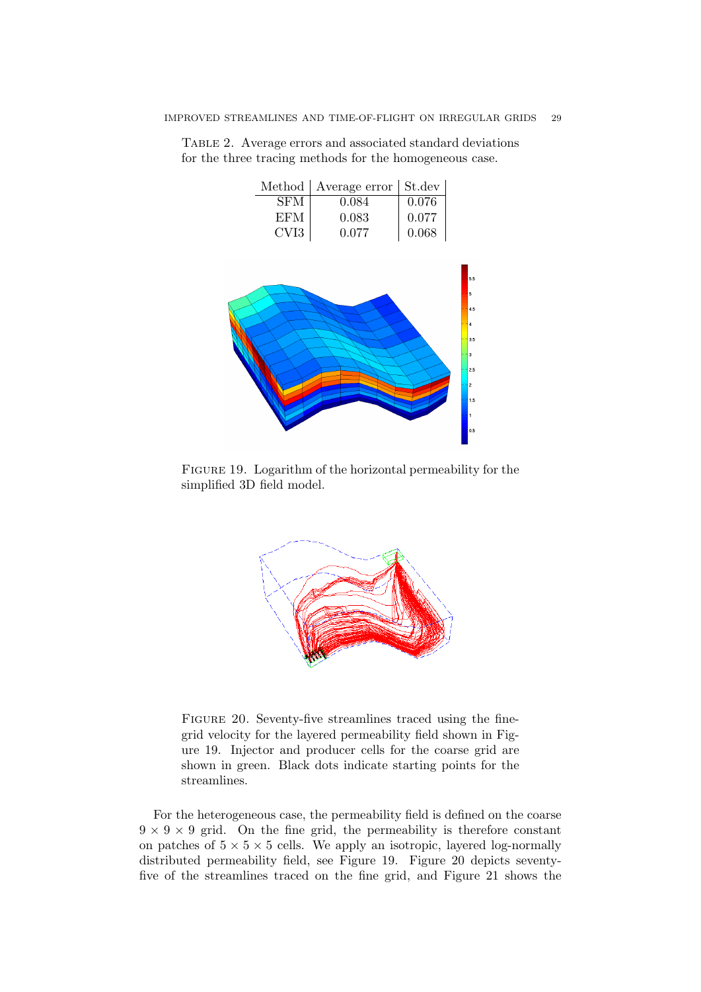|                  | Method   Average error   St.dev |       |
|------------------|---------------------------------|-------|
| <b>SFM</b>       | 0.084                           | 0.076 |
| EFM              | 0.083                           | 0.077 |
| CVI <sub>3</sub> | 0.077                           | 0.068 |

Table 2. Average errors and associated standard deviations for the three tracing methods for the homogeneous case.



FIGURE 19. Logarithm of the horizontal permeability for the simplified 3D field model.



FIGURE 20. Seventy-five streamlines traced using the finegrid velocity for the layered permeability field shown in Figure 19. Injector and producer cells for the coarse grid are shown in green. Black dots indicate starting points for the streamlines.

For the heterogeneous case, the permeability field is defined on the coarse  $9 \times 9 \times 9$  grid. On the fine grid, the permeability is therefore constant on patches of  $5 \times 5 \times 5$  cells. We apply an isotropic, layered log-normally distributed permeability field, see Figure 19. Figure 20 depicts seventyfive of the streamlines traced on the fine grid, and Figure 21 shows the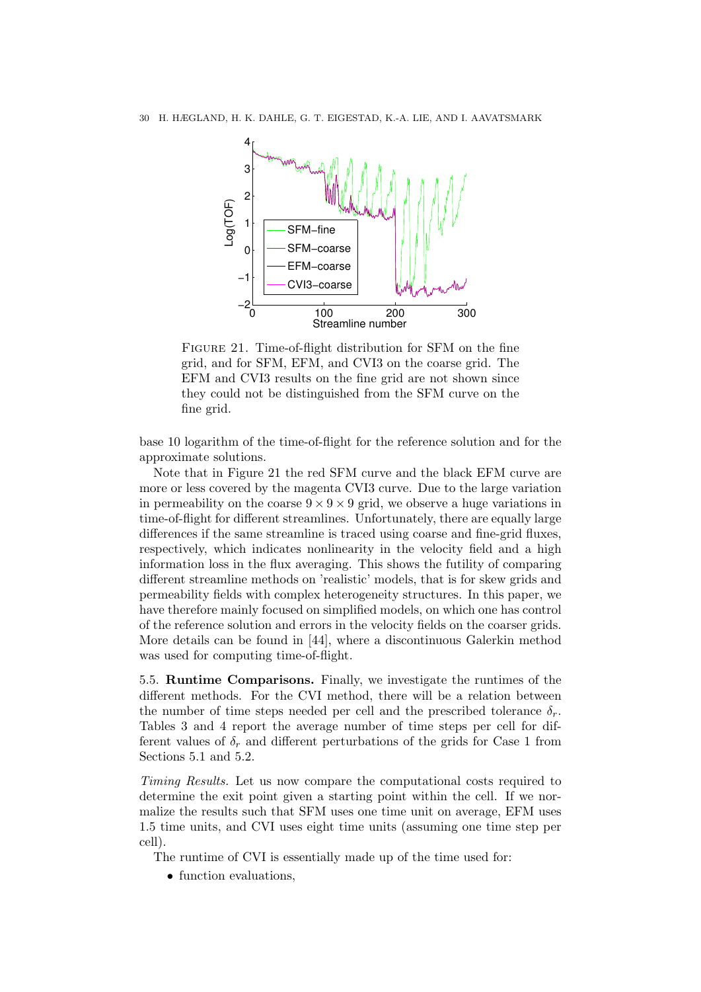

Figure 21. Time-of-flight distribution for SFM on the fine grid, and for SFM, EFM, and CVI3 on the coarse grid. The EFM and CVI3 results on the fine grid are not shown since they could not be distinguished from the SFM curve on the fine grid.

base 10 logarithm of the time-of-flight for the reference solution and for the approximate solutions.

Note that in Figure 21 the red SFM curve and the black EFM curve are more or less covered by the magenta CVI3 curve. Due to the large variation in permeability on the coarse  $9 \times 9 \times 9$  grid, we observe a huge variations in time-of-flight for different streamlines. Unfortunately, there are equally large differences if the same streamline is traced using coarse and fine-grid fluxes, respectively, which indicates nonlinearity in the velocity field and a high information loss in the flux averaging. This shows the futility of comparing different streamline methods on 'realistic' models, that is for skew grids and permeability fields with complex heterogeneity structures. In this paper, we have therefore mainly focused on simplified models, on which one has control of the reference solution and errors in the velocity fields on the coarser grids. More details can be found in [44], where a discontinuous Galerkin method was used for computing time-of-flight.

5.5. Runtime Comparisons. Finally, we investigate the runtimes of the different methods. For the CVI method, there will be a relation between the number of time steps needed per cell and the prescribed tolerance  $\delta_r$ . Tables 3 and 4 report the average number of time steps per cell for different values of  $\delta_r$  and different perturbations of the grids for Case 1 from Sections 5.1 and 5.2.

Timing Results. Let us now compare the computational costs required to determine the exit point given a starting point within the cell. If we normalize the results such that SFM uses one time unit on average, EFM uses 1.5 time units, and CVI uses eight time units (assuming one time step per cell).

The runtime of CVI is essentially made up of the time used for:

• function evaluations,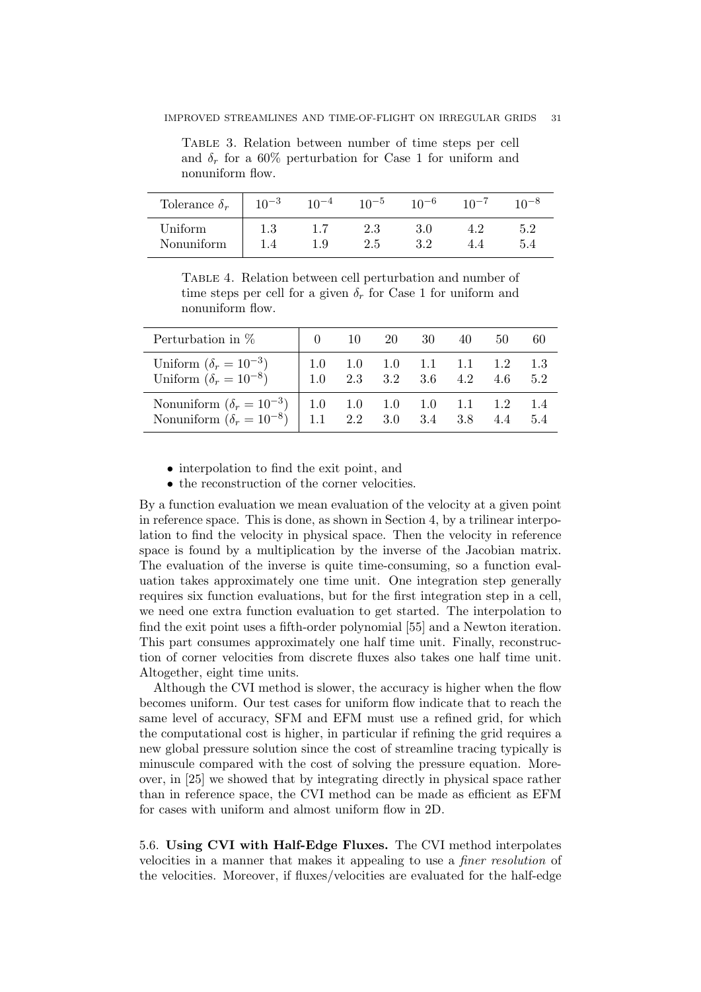Table 3. Relation between number of time steps per cell and  $\delta_r$  for a 60% perturbation for Case 1 for uniform and nonuniform flow.

| Tolerance $\delta_r$  | $10^{-3}$ | $10^{-4}$ | $10^{-5}$  | $10^{-6}$ | 10 <sup>-7</sup> |     |
|-----------------------|-----------|-----------|------------|-----------|------------------|-----|
| Uniform<br>Nonuniform | $1.3\,$   | 1.9       | 2.3<br>2.5 | 29        |                  | 5.2 |

Table 4. Relation between cell perturbation and number of time steps per cell for a given  $\delta_r$  for Case 1 for uniform and nonuniform flow.

| Perturbation in $%$                                                                                                            | $\sim 0$ |                                     | 10 20 | 30 40 | 50                            | 60          |
|--------------------------------------------------------------------------------------------------------------------------------|----------|-------------------------------------|-------|-------|-------------------------------|-------------|
| Uniform $(\delta_r = 10^{-3})$<br>Uniform $(\delta_r = 10^{-8})$                                                               | 1.0      | $1.0$ $1.0$ $1.0$ $1.1$ $1.1$ $1.2$ |       |       | $2.3$ $3.2$ $3.6$ $4.2$ $4.6$ | -1.3<br>5.2 |
| Nonuniform $(\delta_r = 10^{-3})$   1.0 1.0 1.0 1.0 1.1 1.2 1.4<br>Nonuniform $(\delta_r = 10^{-8})$   1.1 2.2 3.0 3.4 3.8 4.4 |          |                                     |       |       |                               | 5.4         |

• interpolation to find the exit point, and

• the reconstruction of the corner velocities.

By a function evaluation we mean evaluation of the velocity at a given point in reference space. This is done, as shown in Section 4, by a trilinear interpolation to find the velocity in physical space. Then the velocity in reference space is found by a multiplication by the inverse of the Jacobian matrix. The evaluation of the inverse is quite time-consuming, so a function evaluation takes approximately one time unit. One integration step generally requires six function evaluations, but for the first integration step in a cell, we need one extra function evaluation to get started. The interpolation to find the exit point uses a fifth-order polynomial [55] and a Newton iteration. This part consumes approximately one half time unit. Finally, reconstruction of corner velocities from discrete fluxes also takes one half time unit. Altogether, eight time units.

Although the CVI method is slower, the accuracy is higher when the flow becomes uniform. Our test cases for uniform flow indicate that to reach the same level of accuracy, SFM and EFM must use a refined grid, for which the computational cost is higher, in particular if refining the grid requires a new global pressure solution since the cost of streamline tracing typically is minuscule compared with the cost of solving the pressure equation. Moreover, in [25] we showed that by integrating directly in physical space rather than in reference space, the CVI method can be made as efficient as EFM for cases with uniform and almost uniform flow in 2D.

5.6. Using CVI with Half-Edge Fluxes. The CVI method interpolates velocities in a manner that makes it appealing to use a finer resolution of the velocities. Moreover, if fluxes/velocities are evaluated for the half-edge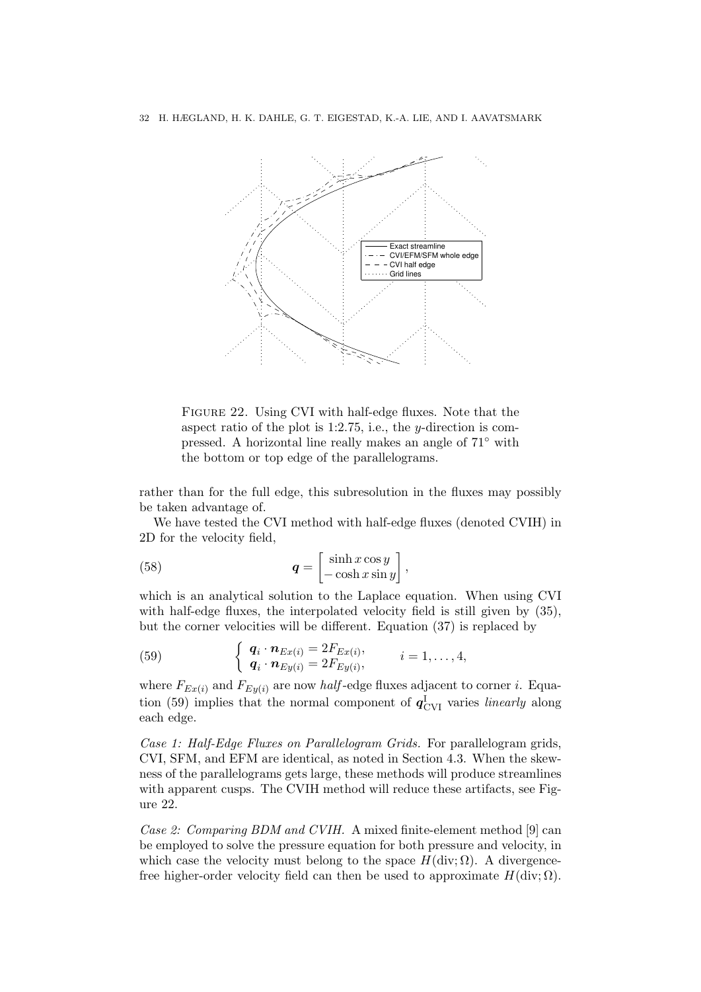

FIGURE 22. Using CVI with half-edge fluxes. Note that the aspect ratio of the plot is 1:2.75, i.e., the y-direction is compressed. A horizontal line really makes an angle of 71◦ with the bottom or top edge of the parallelograms.

rather than for the full edge, this subresolution in the fluxes may possibly be taken advantage of.

We have tested the CVI method with half-edge fluxes (denoted CVIH) in 2D for the velocity field,

(58) 
$$
\mathbf{q} = \begin{bmatrix} \sinh x \cos y \\ -\cosh x \sin y \end{bmatrix},
$$

which is an analytical solution to the Laplace equation. When using CVI with half-edge fluxes, the interpolated velocity field is still given by (35), but the corner velocities will be different. Equation (37) is replaced by

(59) 
$$
\begin{cases} \boldsymbol{q}_i \cdot \boldsymbol{n}_{Ex(i)} = 2F_{Ex(i)}, \\ \boldsymbol{q}_i \cdot \boldsymbol{n}_{Ey(i)} = 2F_{Ey(i)}, \end{cases} \qquad i = 1, \ldots, 4,
$$

where  $F_{Ex(i)}$  and  $F_{Ey(i)}$  are now *half*-edge fluxes adjacent to corner *i*. Equation (59) implies that the normal component of  $q_{\text{CVI}}^{\text{I}}$  varies *linearly* along each edge.

Case 1: Half-Edge Fluxes on Parallelogram Grids. For parallelogram grids, CVI, SFM, and EFM are identical, as noted in Section 4.3. When the skewness of the parallelograms gets large, these methods will produce streamlines with apparent cusps. The CVIH method will reduce these artifacts, see Figure 22.

Case 2: Comparing BDM and CVIH. A mixed finite-element method [9] can be employed to solve the pressure equation for both pressure and velocity, in which case the velocity must belong to the space  $H(\text{div}; \Omega)$ . A divergencefree higher-order velocity field can then be used to approximate  $H(\text{div}; \Omega)$ .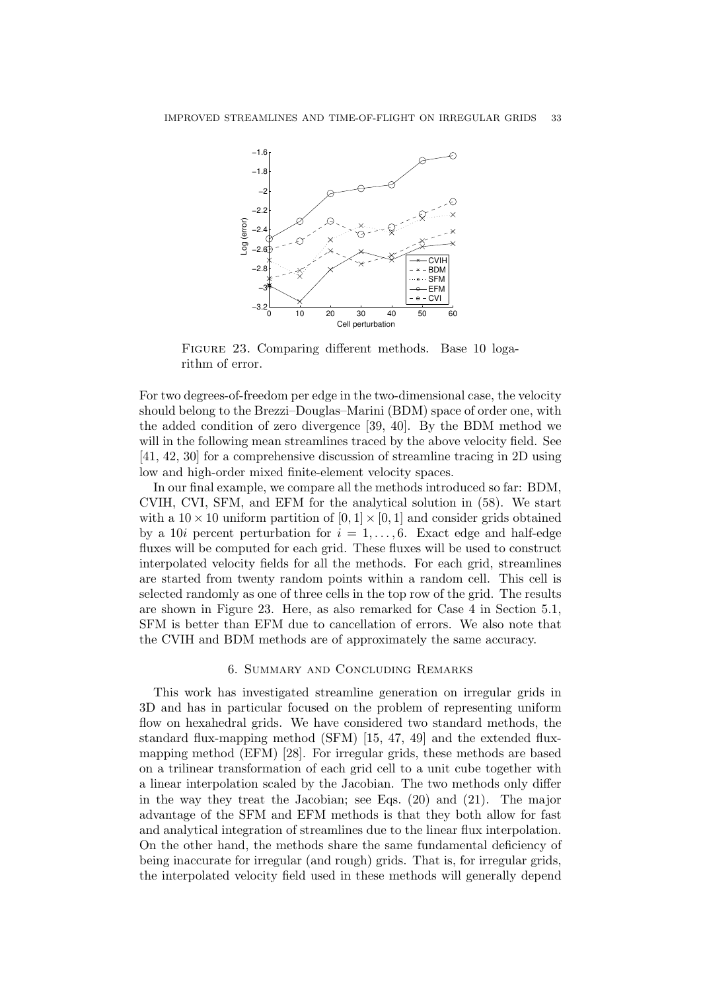

Figure 23. Comparing different methods. Base 10 logarithm of error.

For two degrees-of-freedom per edge in the two-dimensional case, the velocity should belong to the Brezzi–Douglas–Marini (BDM) space of order one, with the added condition of zero divergence [39, 40]. By the BDM method we will in the following mean streamlines traced by the above velocity field. See [41, 42, 30] for a comprehensive discussion of streamline tracing in 2D using low and high-order mixed finite-element velocity spaces.

In our final example, we compare all the methods introduced so far: BDM, CVIH, CVI, SFM, and EFM for the analytical solution in (58). We start with a  $10 \times 10$  uniform partition of  $[0, 1] \times [0, 1]$  and consider grids obtained by a 10i percent perturbation for  $i = 1, \ldots, 6$ . Exact edge and half-edge fluxes will be computed for each grid. These fluxes will be used to construct interpolated velocity fields for all the methods. For each grid, streamlines are started from twenty random points within a random cell. This cell is selected randomly as one of three cells in the top row of the grid. The results are shown in Figure 23. Here, as also remarked for Case 4 in Section 5.1, SFM is better than EFM due to cancellation of errors. We also note that the CVIH and BDM methods are of approximately the same accuracy.

### 6. Summary and Concluding Remarks

This work has investigated streamline generation on irregular grids in 3D and has in particular focused on the problem of representing uniform flow on hexahedral grids. We have considered two standard methods, the standard flux-mapping method (SFM) [15, 47, 49] and the extended fluxmapping method (EFM) [28]. For irregular grids, these methods are based on a trilinear transformation of each grid cell to a unit cube together with a linear interpolation scaled by the Jacobian. The two methods only differ in the way they treat the Jacobian; see Eqs. (20) and (21). The major advantage of the SFM and EFM methods is that they both allow for fast and analytical integration of streamlines due to the linear flux interpolation. On the other hand, the methods share the same fundamental deficiency of being inaccurate for irregular (and rough) grids. That is, for irregular grids, the interpolated velocity field used in these methods will generally depend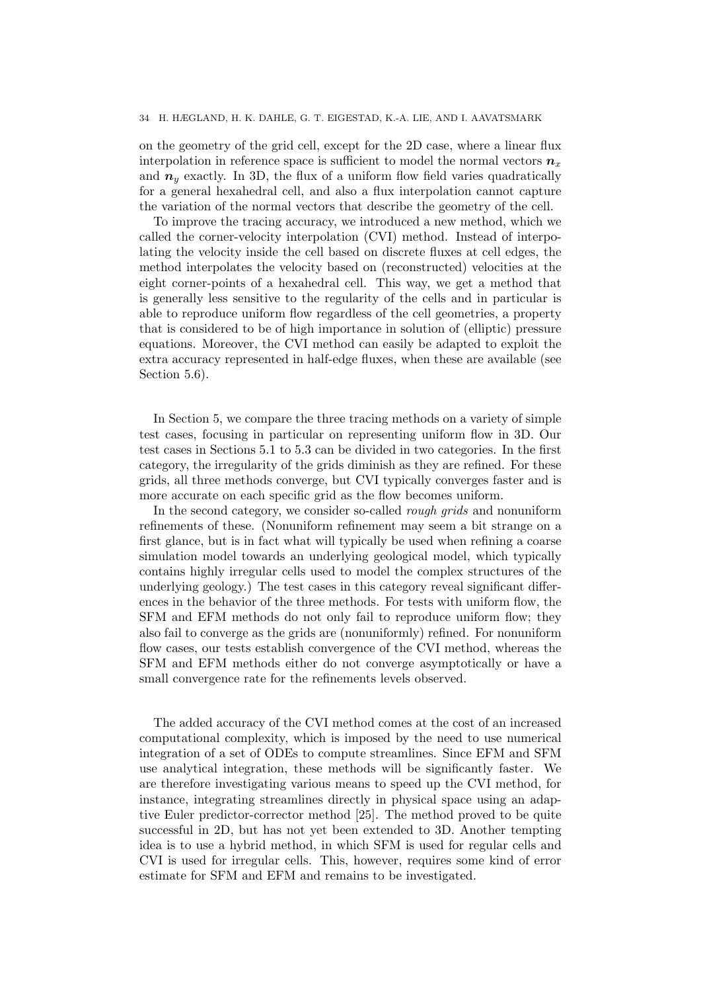### 34 H. HÆGLAND, H. K. DAHLE, G. T. EIGESTAD, K.-A. LIE, AND I. AAVATSMARK

on the geometry of the grid cell, except for the 2D case, where a linear flux interpolation in reference space is sufficient to model the normal vectors  $n_x$ and  $n_y$  exactly. In 3D, the flux of a uniform flow field varies quadratically for a general hexahedral cell, and also a flux interpolation cannot capture the variation of the normal vectors that describe the geometry of the cell.

To improve the tracing accuracy, we introduced a new method, which we called the corner-velocity interpolation (CVI) method. Instead of interpolating the velocity inside the cell based on discrete fluxes at cell edges, the method interpolates the velocity based on (reconstructed) velocities at the eight corner-points of a hexahedral cell. This way, we get a method that is generally less sensitive to the regularity of the cells and in particular is able to reproduce uniform flow regardless of the cell geometries, a property that is considered to be of high importance in solution of (elliptic) pressure equations. Moreover, the CVI method can easily be adapted to exploit the extra accuracy represented in half-edge fluxes, when these are available (see Section 5.6).

In Section 5, we compare the three tracing methods on a variety of simple test cases, focusing in particular on representing uniform flow in 3D. Our test cases in Sections 5.1 to 5.3 can be divided in two categories. In the first category, the irregularity of the grids diminish as they are refined. For these grids, all three methods converge, but CVI typically converges faster and is more accurate on each specific grid as the flow becomes uniform.

In the second category, we consider so-called rough grids and nonuniform refinements of these. (Nonuniform refinement may seem a bit strange on a first glance, but is in fact what will typically be used when refining a coarse simulation model towards an underlying geological model, which typically contains highly irregular cells used to model the complex structures of the underlying geology.) The test cases in this category reveal significant differences in the behavior of the three methods. For tests with uniform flow, the SFM and EFM methods do not only fail to reproduce uniform flow; they also fail to converge as the grids are (nonuniformly) refined. For nonuniform flow cases, our tests establish convergence of the CVI method, whereas the SFM and EFM methods either do not converge asymptotically or have a small convergence rate for the refinements levels observed.

The added accuracy of the CVI method comes at the cost of an increased computational complexity, which is imposed by the need to use numerical integration of a set of ODEs to compute streamlines. Since EFM and SFM use analytical integration, these methods will be significantly faster. We are therefore investigating various means to speed up the CVI method, for instance, integrating streamlines directly in physical space using an adaptive Euler predictor-corrector method [25]. The method proved to be quite successful in 2D, but has not yet been extended to 3D. Another tempting idea is to use a hybrid method, in which SFM is used for regular cells and CVI is used for irregular cells. This, however, requires some kind of error estimate for SFM and EFM and remains to be investigated.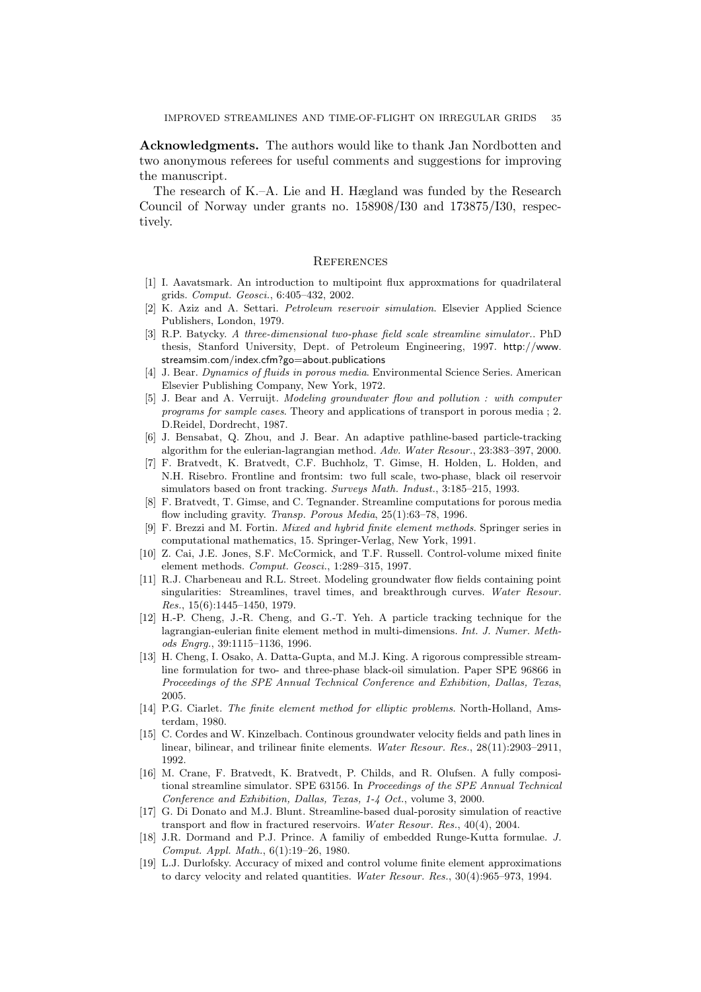Acknowledgments. The authors would like to thank Jan Nordbotten and two anonymous referees for useful comments and suggestions for improving the manuscript.

The research of K.–A. Lie and H. Hægland was funded by the Research Council of Norway under grants no. 158908/I30 and 173875/I30, respectively.

#### **REFERENCES**

- [1] I. Aavatsmark. An introduction to multipoint flux approxmations for quadrilateral grids. Comput. Geosci., 6:405–432, 2002.
- [2] K. Aziz and A. Settari. Petroleum reservoir simulation. Elsevier Applied Science Publishers, London, 1979.
- [3] R.P. Batycky. A three-dimensional two-phase field scale streamline simulator.. PhD thesis, Stanford University, Dept. of Petroleum Engineering, 1997. http://www. streamsim.com/index.cfm?go=about.publications
- [4] J. Bear. Dynamics of fluids in porous media. Environmental Science Series. American Elsevier Publishing Company, New York, 1972.
- [5] J. Bear and A. Verruijt. Modeling groundwater flow and pollution : with computer programs for sample cases. Theory and applications of transport in porous media ; 2. D.Reidel, Dordrecht, 1987.
- [6] J. Bensabat, Q. Zhou, and J. Bear. An adaptive pathline-based particle-tracking algorithm for the eulerian-lagrangian method. Adv. Water Resour., 23:383–397, 2000.
- [7] F. Bratvedt, K. Bratvedt, C.F. Buchholz, T. Gimse, H. Holden, L. Holden, and N.H. Risebro. Frontline and frontsim: two full scale, two-phase, black oil reservoir simulators based on front tracking. Surveys Math. Indust., 3:185–215, 1993.
- [8] F. Bratvedt, T. Gimse, and C. Tegnander. Streamline computations for porous media flow including gravity. Transp. Porous Media, 25(1):63–78, 1996.
- [9] F. Brezzi and M. Fortin. Mixed and hybrid finite element methods. Springer series in computational mathematics, 15. Springer-Verlag, New York, 1991.
- [10] Z. Cai, J.E. Jones, S.F. McCormick, and T.F. Russell. Control-volume mixed finite element methods. Comput. Geosci., 1:289–315, 1997.
- [11] R.J. Charbeneau and R.L. Street. Modeling groundwater flow fields containing point singularities: Streamlines, travel times, and breakthrough curves. Water Resour. Res., 15(6):1445–1450, 1979.
- [12] H.-P. Cheng, J.-R. Cheng, and G.-T. Yeh. A particle tracking technique for the lagrangian-eulerian finite element method in multi-dimensions. Int. J. Numer. Methods Engrg., 39:1115–1136, 1996.
- [13] H. Cheng, I. Osako, A. Datta-Gupta, and M.J. King. A rigorous compressible streamline formulation for two- and three-phase black-oil simulation. Paper SPE 96866 in Proceedings of the SPE Annual Technical Conference and Exhibition, Dallas, Texas, 2005.
- [14] P.G. Ciarlet. The finite element method for elliptic problems. North-Holland, Amsterdam, 1980.
- [15] C. Cordes and W. Kinzelbach. Continous groundwater velocity fields and path lines in linear, bilinear, and trilinear finite elements. Water Resour. Res., 28(11):2903-2911. 1992.
- [16] M. Crane, F. Bratvedt, K. Bratvedt, P. Childs, and R. Olufsen. A fully compositional streamline simulator. SPE 63156. In Proceedings of the SPE Annual Technical Conference and Exhibition, Dallas, Texas, 1-4 Oct., volume 3, 2000.
- [17] G. Di Donato and M.J. Blunt. Streamline-based dual-porosity simulation of reactive transport and flow in fractured reservoirs. Water Resour. Res., 40(4), 2004.
- [18] J.R. Dormand and P.J. Prince. A familiy of embedded Runge-Kutta formulae. J. Comput. Appl. Math., 6(1):19–26, 1980.
- [19] L.J. Durlofsky. Accuracy of mixed and control volume finite element approximations to darcy velocity and related quantities. Water Resour. Res., 30(4):965–973, 1994.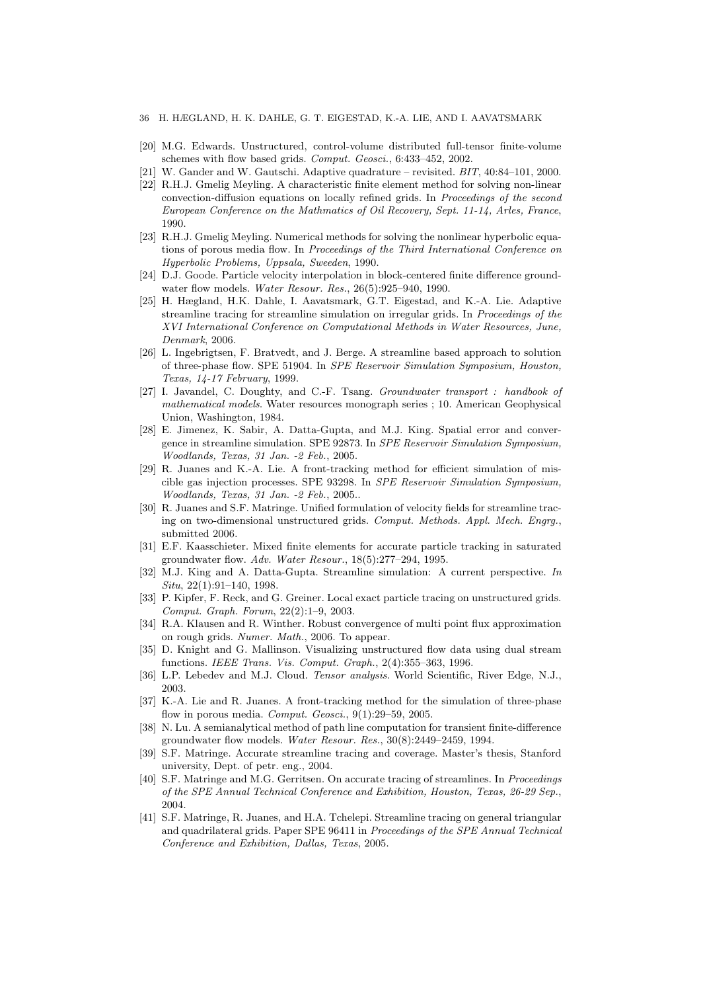- 36 H. HÆGLAND, H. K. DAHLE, G. T. EIGESTAD, K.-A. LIE, AND I. AAVATSMARK
- [20] M.G. Edwards. Unstructured, control-volume distributed full-tensor finite-volume schemes with flow based grids. Comput. Geosci., 6:433–452, 2002.
- [21] W. Gander and W. Gautschi. Adaptive quadrature revisited.  $BIT, 40:84-101, 2000$ .
- [22] R.H.J. Gmelig Meyling. A characteristic finite element method for solving non-linear convection-diffusion equations on locally refined grids. In Proceedings of the second European Conference on the Mathmatics of Oil Recovery, Sept. 11-14, Arles, France, 1990.
- [23] R.H.J. Gmelig Meyling. Numerical methods for solving the nonlinear hyperbolic equations of porous media flow. In Proceedings of the Third International Conference on Hyperbolic Problems, Uppsala, Sweeden, 1990.
- [24] D.J. Goode. Particle velocity interpolation in block-centered finite difference groundwater flow models. Water Resour. Res., 26(5):925–940, 1990.
- [25] H. Hægland, H.K. Dahle, I. Aavatsmark, G.T. Eigestad, and K.-A. Lie. Adaptive streamline tracing for streamline simulation on irregular grids. In Proceedings of the XVI International Conference on Computational Methods in Water Resources, June, Denmark, 2006.
- [26] L. Ingebrigtsen, F. Bratvedt, and J. Berge. A streamline based approach to solution of three-phase flow. SPE 51904. In SPE Reservoir Simulation Symposium, Houston, Texas, 14-17 February, 1999.
- [27] I. Javandel, C. Doughty, and C.-F. Tsang. Groundwater transport : handbook of mathematical models. Water resources monograph series ; 10. American Geophysical Union, Washington, 1984.
- [28] E. Jimenez, K. Sabir, A. Datta-Gupta, and M.J. King. Spatial error and convergence in streamline simulation. SPE 92873. In SPE Reservoir Simulation Symposium, Woodlands, Texas, 31 Jan. -2 Feb., 2005.
- [29] R. Juanes and K.-A. Lie. A front-tracking method for efficient simulation of miscible gas injection processes. SPE 93298. In SPE Reservoir Simulation Symposium, Woodlands, Texas, 31 Jan. -2 Feb., 2005..
- [30] R. Juanes and S.F. Matringe. Unified formulation of velocity fields for streamline tracing on two-dimensional unstructured grids. Comput. Methods. Appl. Mech. Engrg., submitted 2006.
- [31] E.F. Kaasschieter. Mixed finite elements for accurate particle tracking in saturated groundwater flow. Adv. Water Resour., 18(5):277–294, 1995.
- [32] M.J. King and A. Datta-Gupta. Streamline simulation: A current perspective. In Situ, 22(1):91–140, 1998.
- [33] P. Kipfer, F. Reck, and G. Greiner. Local exact particle tracing on unstructured grids. Comput. Graph. Forum, 22(2):1–9, 2003.
- [34] R.A. Klausen and R. Winther. Robust convergence of multi point flux approximation on rough grids. Numer. Math., 2006. To appear.
- [35] D. Knight and G. Mallinson. Visualizing unstructured flow data using dual stream functions. IEEE Trans. Vis. Comput. Graph., 2(4):355–363, 1996.
- [36] L.P. Lebedev and M.J. Cloud. Tensor analysis. World Scientific, River Edge, N.J., 2003.
- [37] K.-A. Lie and R. Juanes. A front-tracking method for the simulation of three-phase flow in porous media. *Comput. Geosci.*, 9(1):29–59, 2005.
- [38] N. Lu. A semianalytical method of path line computation for transient finite-difference groundwater flow models. Water Resour. Res., 30(8):2449–2459, 1994.
- [39] S.F. Matringe. Accurate streamline tracing and coverage. Master's thesis, Stanford university, Dept. of petr. eng., 2004.
- [40] S.F. Matringe and M.G. Gerritsen. On accurate tracing of streamlines. In Proceedings of the SPE Annual Technical Conference and Exhibition, Houston, Texas, 26-29 Sep., 2004.
- [41] S.F. Matringe, R. Juanes, and H.A. Tchelepi. Streamline tracing on general triangular and quadrilateral grids. Paper SPE 96411 in Proceedings of the SPE Annual Technical Conference and Exhibition, Dallas, Texas, 2005.